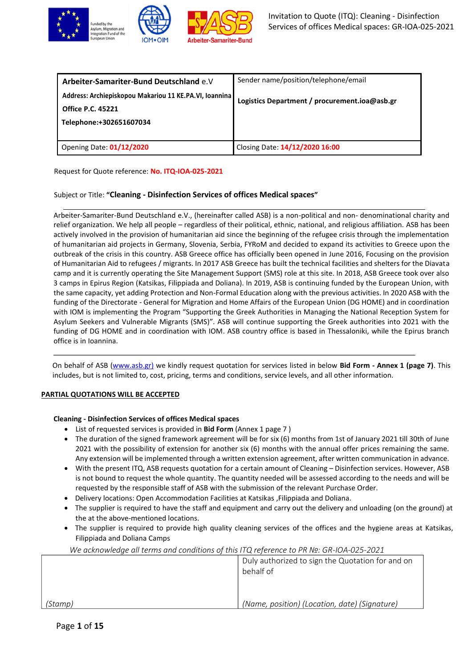

| Arbeiter-Samariter-Bund Deutschland e.V                                                                       | Sender name/position/telephone/email          |
|---------------------------------------------------------------------------------------------------------------|-----------------------------------------------|
| Address: Archiepiskopou Makariou 11 KE.PA.VI, Ioannina<br><b>Office P.C. 45221</b><br>Telephone:+302651607034 | Logistics Department / procurement.ioa@asb.gr |
| Opening Date: 01/12/2020                                                                                      | Closing Date: 14/12/2020 16:00                |

Request for Quote reference: **No. ITQ-IOA-025-2021**

# Subject or Title: **"Cleaning - Disinfection Services of offices Medical spaces"**

Arbeiter-Samariter-Bund Deutschland e.V., (hereinafter called ASB) is a non-political and non- denominational charity and relief organization. We help all people – regardless of their political, ethnic, national, and religious affiliation. ASB has been actively involved in the provision of humanitarian aid since the beginning of the refugee crisis through the implementation of humanitarian aid projects in Germany, Slovenia, Serbia, FYRoM and decided to expand its activities to Greece upon the outbreak of the crisis in this country. ASB Greece office has officially been opened in June 2016, Focusing on the provision of Humanitarian Aid to refugees / migrants. In 2017 ASB Greece has built the technical facilities and shelters for the Diavata camp and it is currently operating the Site Management Support (SMS) role at this site. In 2018, ASB Greece took over also 3 camps in Epirus Region (Katsikas, Filippiada and Doliana). In 2019, ASB is continuing funded by the European Union, with the same capacity, yet adding Protection and Non-Formal Education along with the previous activities. In 2020 ASB with the funding of the Directorate - General for Migration and Home Affairs of the European Union (DG HOME) and in coordination with IOM is implementing the Program "Supporting the Greek Authorities in Managing the National Reception System for Asylum Seekers and Vulnerable Migrants (SMS)". ASB will continue supporting the Greek authorities into 2021 with the funding of DG HOME and in coordination with IOM. ASB country office is based in Thessaloniki, while the Epirus branch office is in Ioannina.

On behalf of ASB [\(www.asb.gr\)](http://www.asb.gr/) we kindly request quotation for services listed in below **Bid Form - Annex 1 (page 7)**. This includes, but is not limited to, cost, pricing, terms and conditions, service levels, and all other information.

# **PARTIAL QUOTATIONS WILL BE ACCEPTED**

# **Cleaning - Disinfection Services of offices Medical spaces**

- List of requested services is provided in **Bid Form** (Annex 1 page 7 )
- The duration of the signed framework agreement will be for six (6) months from 1st of January 2021 till 30th of June 2021 with the possibility of extension for another six (6) months with the annual offer prices remaining the same. Any extension will be implemented through a written extension agreement, after written communication in advance.
- With the present ITQ, ASB requests quotation for a certain amount of Cleaning Disinfection services. However, ASB is not bound to request the whole quantity. The quantity needed will be assessed according to the needs and will be requested by the responsible staff of ASB with the submission of the relevant Purchase Order.
- Delivery locations: Open Accommodation Facilities at Katsikas ,Filippiada and Doliana.
- The supplier is required to have the staff and equipment and carry out the delivery and unloading (on the ground) at the at the above-mentioned locations.
- The supplier is required to provide high quality cleaning services of the offices and the hygiene areas at Katsikas, Filippiada and Doliana Camps

| we acknowledge all terms and conditions of this matricipative. On hose on-loa-025-2021 |                                                               |
|----------------------------------------------------------------------------------------|---------------------------------------------------------------|
|                                                                                        | Duly authorized to sign the Quotation for and on<br>behalf of |
| (Stamp)                                                                                | (Name, position) (Location, date) (Signature)                 |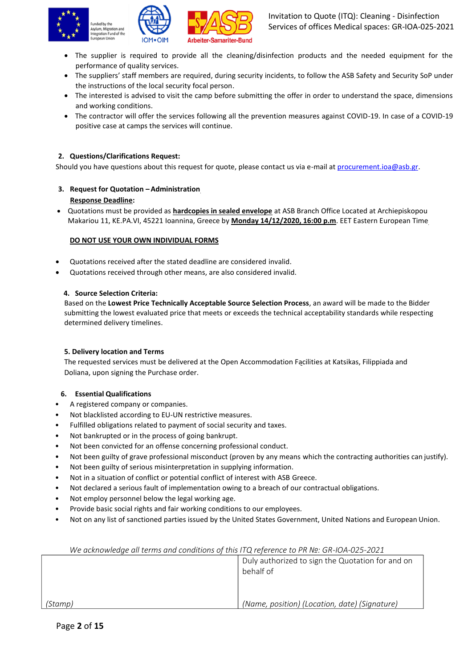





- The supplier is required to provide all the cleaning/disinfection products and the needed equipment for the performance of quality services.
- The suppliers' staff members are required, during security incidents, to follow the ASB Safety and Security SoP under the instructions of the local security focal person.
- The interested is advised to visit the camp before submitting the offer in order to understand the space, dimensions and working conditions.
- The contractor will offer the services following all the prevention measures against COVID-19. In case of a COVID-19 positive case at camps the services will continue.

# **2. Questions/Clarifications Request:**

Should you have questions about this request for quote, please contact us via e-mail a[t procurement.ioa@asb.gr.](mailto:procurement.ioa@asb.gr)

- **3. Request for Quotation – Administration Response Deadline:**
- Quotations must be provided as **hardcopies in sealed envelope** at ASB Branch Office Located at Archiepiskopou Makariou 11, KE.PA.VI, 45221 Ioannina, Greece by **Monday 14/12/2020, 16:00 p.m**. EET Eastern European Time

### **DO NOT USE YOUR OWN INDIVIDUAL FORMS**

- Quotations received after the stated deadline are considered invalid.
- Quotations received through other means, are also considered invalid.

### **4. Source Selection Criteria:**

Based on the **Lowest Price Technically Acceptable Source Selection Process**, an award will be made to the Bidder submitting the lowest evaluated price that meets or exceeds the technical acceptability standards while respecting determined delivery timelines.

### **5. Delivery location and Terms**

The requested services must be delivered at the Open Accommodation Facilities at Katsikas, Filippiada and Doliana, upon signing the Purchase order.

### **6. Essential Qualifications**

- A registered company or companies.
- Not blacklisted according to EU-UN restrictive measures.
- Fulfilled obligations related to payment of social security and taxes.
- Not bankrupted or in the process of going bankrupt.
- Not been convicted for an offense concerning professional conduct.
- Not been guilty of grave professional misconduct (proven by any means which the contracting authorities can justify).
- Not been guilty of serious misinterpretation in supplying information.
- Not in a situation of conflict or potential conflict of interest with ASB Greece.
- Not declared a serious fault of implementation owing to a breach of our contractual obligations.
- Not employ personnel below the legal working age.
- Provide basic social rights and fair working conditions to our employees.
- Not on any list of sanctioned parties issued by the United States Government, United Nations and European Union.

| The acknowledge all terms and conditions of this ITQ reference to PR Nº. GR-IOA-025-2021 |                                               |  |
|------------------------------------------------------------------------------------------|-----------------------------------------------|--|
| Duly authorized to sign the Quotation for and on                                         |                                               |  |
|                                                                                          | behalf of                                     |  |
|                                                                                          |                                               |  |
|                                                                                          |                                               |  |
| (Stamp)                                                                                  | (Name, position) (Location, date) (Signature) |  |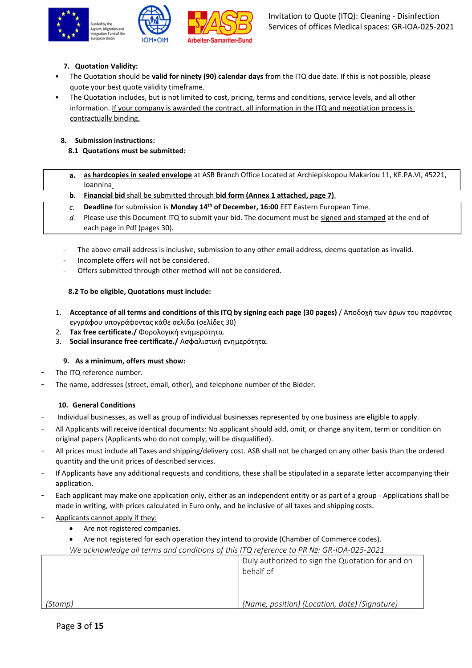





# **7. Quotation Validity:**

- The Quotation should be **valid for ninety (90) calendar days** from the ITQ due date. If this is not possible, please quote your best quote validity timeframe.
- The Quotation includes, but is not limited to cost, pricing, terms and conditions, service levels, and all other information. If your company is awarded the contract, all information in the ITQ and negotiation process is contractually binding.

# **8. Submission instructions:**

- **8.1 Quotations must be submitted:**
- **as hardcopies in sealed envelope** at ASB Branch Office Located at Archiepiskopou Makariou 11, KE.PA.VI, 45221,  $a_{\cdot}$ Ioannina
- **Financial bid** shall be submitted through **bid form (Annex 1 attached, page 7)**.
- **Deadline** for submission is **Monday 14 th of December, 16:00** EET Eastern European Time.  $c_{\rm c}$
- d. Please use this Document ITQ to submit your bid. The document must be signed and stamped at the end of each page in Pdf (pages 30).
- The above email address is inclusive, submission to any other email address, deems quotation as invalid.
- Incomplete offers will not be considered.
- Offers submitted through other method will not be considered.

# **8.2 To be eligible, Quotations must include:**

- 1. **Acceptance of all terms and conditions of this ITQ by signing each page (30 pages)** / Αποδοχή των όρων του παρόντος εγγράφου υπογράφοντας κάθε σελίδα (σελίδες 30)
- 2. **Tax free certificate./** Φορολογική ενημερότητα.
- 3. **Social insurance free certificate./** Ασφαλιστική ενημερότητα.

# **9. As a minimum, offers must show:**

- The ITQ reference number.
- The name, addresses (street, email, other), and telephone number of the Bidder.

# **10. General Conditions**

- Individual businesses, as well as group of individual businesses represented by one business are eligible to apply.
- All Applicants will receive identical documents: No applicant should add, omit, or change any item, term or condition on original papers (Applicants who do not comply, will be disqualified).
- All prices must include all Taxes and shipping/delivery cost. ASB shall not be charged on any other basis than the ordered quantity and the unit prices of described services.
- If Applicants have any additional requests and conditions, these shall be stipulated in a separate letter accompanying their application.
- Each applicant may make one application only, either as an independent entity or as part of a group Applications shall be made in writing, with prices calculated in Euro only, and be inclusive of all taxes and shipping costs.
- Applicants cannot apply if they:
	- Are not registered companies.
	- Are not registered for each operation they intend to provide (Chamber of Commerce codes).

|         | Duly authorized to sign the Quotation for and on<br>behalf of |
|---------|---------------------------------------------------------------|
|         |                                                               |
| (Stamp) | (Name, position) (Location, date) (Signature)                 |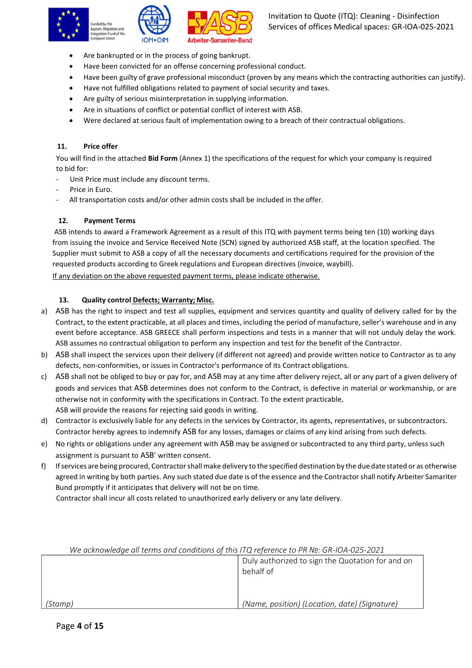





- Are bankrupted or in the process of going bankrupt.
- Have been convicted for an offense concerning professional conduct.
- Have been guilty of grave professional misconduct (proven by any means which the contracting authorities can justify).
- Have not fulfilled obligations related to payment of social security and taxes.
- Are guilty of serious misinterpretation in supplying information.
- Are in situations of conflict or potential conflict of interest with ASB.
- Were declared at serious fault of implementation owing to a breach of their contractual obligations.

# **11. Price offer**

You will find in the attached **Bid Form** (Annex 1) the specifications of the request for which your company is required to bid for:

- Unit Price must include any discount terms.
- Price in Euro.
- All transportation costs and/or other admin costs shall be included in the offer.

# **12. Payment Terms**

ASB intends to award a Framework Agreement as a result of this ITQ with payment terms being ten (10) working days from issuing the invoice and Service Received Note (SCN) signed by authorized ASB staff, at the location specified. The Supplier must submit to ASB a copy of all the necessary documents and certifications required for the provision of the requested products according to Greek regulations and European directives (invoice, waybill).

If any deviation on the above requested payment terms, please indicate otherwise.

# **13. Quality control Defects; Warranty; Misc.**

- a) ASB has the right to inspect and test all supplies, equipment and services quantity and quality of delivery called for by the Contract, to the extent practicable, at all places and times, including the period of manufacture, seller's warehouse and in any event before acceptance. ASB GREECE shall perform inspections and tests in a manner that will not unduly delay the work. ASB assumes no contractual obligation to perform any inspection and test for the benefit of the Contractor.
- b) ASB shall inspect the services upon their delivery (if different not agreed) and provide written notice to Contractor as to any defects, non-conformities, or issues in Contractor's performance of its Contract obligations.
- c) ASB shall not be obliged to buy or pay for, and ASB may at any time after delivery reject, all or any part of a given delivery of goods and services that ASB determines does not conform to the Contract, is defective in material or workmanship, or are otherwise not in conformity with the specifications in Contract. To the extent practicable, ASB will provide the reasons for rejecting said goods in writing.
- d) Contractor is exclusively liable for any defects in the services by Contractor, its agents, representatives, or subcontractors. Contractor hereby agrees to indemnify ASB for any losses, damages or claims of any kind arising from such defects.
- e) No rights or obligations under any agreement with ASB may be assigned or subcontracted to any third party, unless such assignment is pursuant to ASB' written consent.
- f) Ifservices are being procured, Contractorshallmake delivery to the specified destination by the due date stated or as otherwise agreed in writing by both parties. Any such stated due date is of the essence and the Contractorshall notify Arbeiter Samariter Bund promptly if it anticipates that delivery will not be on time.

Contractor shall incur all costs related to unauthorized early delivery or any late delivery.

| We acknowledge all terms and conditions of this ITQ reference to PR Nº: GR-IOA-025-2021 |                                                               |  |
|-----------------------------------------------------------------------------------------|---------------------------------------------------------------|--|
|                                                                                         | Duly authorized to sign the Quotation for and on<br>behalf of |  |
|                                                                                         |                                                               |  |
| (Stamp)                                                                                 | (Name, position) (Location, date) (Signature)                 |  |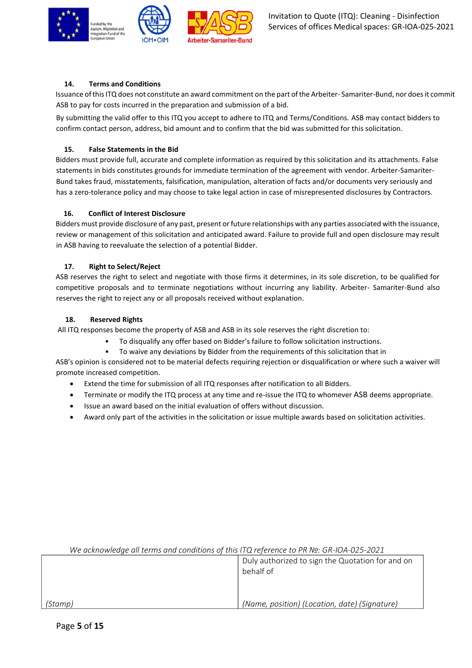



# **14. Terms and Conditions**

Issuance of this ITQ does not constitute an award commitment on the part of the Arbeiter- Samariter-Bund, nor does it commit ASB to pay for costs incurred in the preparation and submission of a bid.

By submitting the valid offer to this ITQ you accept to adhere to ITQ and Terms/Conditions. ASB may contact bidders to confirm contact person, address, bid amount and to confirm that the bid was submitted for this solicitation.

# **15. False Statements in the Bid**

Bidders must provide full, accurate and complete information as required by this solicitation and its attachments. False statements in bids constitutes grounds for immediate termination of the agreement with vendor. Arbeiter-Samariter-Bund takes fraud, misstatements, falsification, manipulation, alteration of facts and/or documents very seriously and has a zero-tolerance policy and may choose to take legal action in case of misrepresented disclosures by Contractors.

# **16. Conflict of Interest Disclosure**

Bidders must provide disclosure of any past, present or future relationships with any parties associated with the issuance, review or management of this solicitation and anticipated award. Failure to provide full and open disclosure may result in ASB having to reevaluate the selection of a potential Bidder.

# **17. Right to Select/Reject**

ASB reserves the right to select and negotiate with those firms it determines, in its sole discretion, to be qualified for competitive proposals and to terminate negotiations without incurring any liability. Arbeiter- Samariter-Bund also reserves the right to reject any or all proposals received without explanation.

# **18. Reserved Rights**

All ITQ responses become the property of ASB and ASB in its sole reserves the right discretion to:

- To disqualify any offer based on Bidder's failure to follow solicitation instructions.
- To waive any deviations by Bidder from the requirements of this solicitation that in

ASB's opinion is considered not to be material defects requiring rejection or disqualification or where such a waiver will promote increased competition.

- Extend the time for submission of all ITQ responses after notification to all Bidders.
- Terminate or modify the ITQ process at any time and re-issue the ITQ to whomever ASB deems appropriate.
- Issue an award based on the initial evaluation of offers without discussion.
- Award only part of the activities in the solicitation or issue multiple awards based on solicitation activities.

| We acknowledge all terms and conditions of this ITQ reference to PR Nº: GR-IOA-025-2021 |                                                               |  |
|-----------------------------------------------------------------------------------------|---------------------------------------------------------------|--|
|                                                                                         | Duly authorized to sign the Quotation for and on<br>behalf of |  |
| (Stamp)                                                                                 | (Name, position) (Location, date) (Signature)                 |  |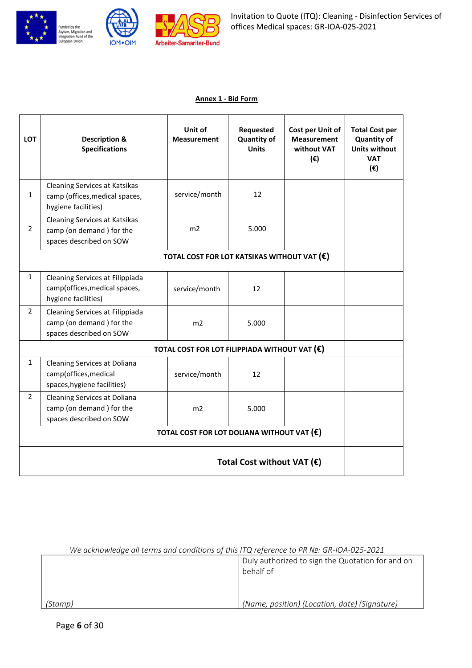





# **Annex 1 - Bid Form**

| LOT                                                  | <b>Description &amp;</b><br><b>Specifications</b>                                           | Unit of<br><b>Measurement</b>                 | Requested<br><b>Quantity of</b><br><b>Units</b> | <b>Cost per Unit of</b><br><b>Measurement</b><br>without VAT<br>$(\epsilon)$ | <b>Total Cost per</b><br><b>Quantity of</b><br><b>Units without</b><br><b>VAT</b><br>$(\epsilon)$ |
|------------------------------------------------------|---------------------------------------------------------------------------------------------|-----------------------------------------------|-------------------------------------------------|------------------------------------------------------------------------------|---------------------------------------------------------------------------------------------------|
| $\mathbf{1}$                                         | Cleaning Services at Katsikas<br>camp (offices, medical spaces,<br>hygiene facilities)      | service/month                                 | 12                                              |                                                                              |                                                                                                   |
| $\overline{2}$                                       | <b>Cleaning Services at Katsikas</b><br>camp (on demand) for the<br>spaces described on SOW | m <sub>2</sub>                                | 5.000                                           |                                                                              |                                                                                                   |
| TOTAL COST FOR LOT KATSIKAS WITHOUT VAT $(\epsilon)$ |                                                                                             |                                               |                                                 |                                                                              |                                                                                                   |
| $\mathbf{1}$                                         | Cleaning Services at Filippiada<br>camp(offices, medical spaces,<br>hygiene facilities)     | service/month                                 | 12                                              |                                                                              |                                                                                                   |
| $\overline{2}$                                       | Cleaning Services at Filippiada<br>camp (on demand) for the<br>spaces described on SOW      | m <sub>2</sub>                                | 5.000                                           |                                                                              |                                                                                                   |
|                                                      |                                                                                             | TOTAL COST FOR LOT FILIPPIADA WITHOUT VAT (€) |                                                 |                                                                              |                                                                                                   |
| $\mathbf{1}$                                         | Cleaning Services at Doliana<br>camp(offices, medical<br>spaces, hygiene facilities)        | service/month                                 | 12                                              |                                                                              |                                                                                                   |
| 2                                                    | Cleaning Services at Doliana<br>camp (on demand) for the<br>spaces described on SOW         | m2                                            | 5.000                                           |                                                                              |                                                                                                   |
|                                                      | TOTAL COST FOR LOT DOLIANA WITHOUT VAT $(\epsilon)$                                         |                                               |                                                 |                                                                              |                                                                                                   |
|                                                      | Total Cost without VAT $(\epsilon)$                                                         |                                               |                                                 |                                                                              |                                                                                                   |

| We acknowledge all terms and conditions of this ITQ reference to PR Nº: GR-IOA-025-2021 |  |
|-----------------------------------------------------------------------------------------|--|
|-----------------------------------------------------------------------------------------|--|

|         | Duly authorized to sign the Quotation for and on<br>behalf of |  |
|---------|---------------------------------------------------------------|--|
| (Stamp) | (Name, position) (Location, date) (Signature)                 |  |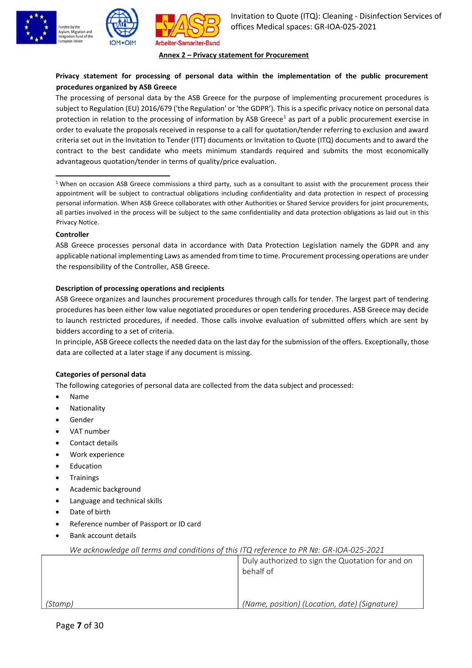





#### **Annex 2 – Privacy statement for Procurement**

# **Privacy statement for processing of personal data within the implementation of the public procurement procedures organized by ASB Greece**

The processing of personal data by the ASB Greece for the purpose of implementing procurement procedures is subject to Regulation (EU) 2016/679 ('the Regulation' or 'the GDPR'). This is a specific privacy notice on personal data protection in relation to the processing of information by ASB Greece<sup>1</sup> as part of a public procurement exercise in order to evaluate the proposals received in response to a call for quotation/tender referring to exclusion and award criteria set out in the Invitation to Tender (ITT) documents or Invitation to Quote (ITQ) documents and to award the contract to the best candidate who meets minimum standards required and submits the most economically advantageous quotation/tender in terms of quality/price evaluation.

<sup>1</sup> When on occasion ASB Greece commissions a third party, such as a consultant to assist with the procurement process their appointment will be subject to contractual obligations including confidentiality and data protection in respect of processing personal information. When ASB Greece collaborates with other Authorities or Shared Service providers for joint procurements, all parties involved in the process will be subject to the same confidentiality and data protection obligations as laid out in this Privacy Notice.

### **Controller**

ASB Greece processes personal data in accordance with Data Protection Legislation namely the GDPR and any applicable national implementing Laws as amended from time to time. Procurement processing operations are under the responsibility of the Controller, ASB Greece.

### **Description of processing operations and recipients**

ASB Greece organizes and launches procurement procedures through calls for tender. The largest part of tendering procedures has been either low value negotiated procedures or open tendering procedures. ASB Greece may decide to launch restricted procedures, if needed. Those calls involve evaluation of submitted offers which are sent by bidders according to a set of criteria.

In principle, ASB Greece collects the needed data on the last day for the submission of the offers. Exceptionally, those data are collected at a later stage if any document is missing.

### **Categories of personal data**

The following categories of personal data are collected from the data subject and processed:

- Name
- **Nationality**
- **Gender**
- VAT number
- Contact details
- Work experience
- **Education**
- **Trainings**
- Academic background
- Language and technical skills
- Date of birth
- Reference number of Passport or ID card
- Bank account details

|         | Duly authorized to sign the Quotation for and on<br>behalf of |
|---------|---------------------------------------------------------------|
|         |                                                               |
| (Stamp) | (Name, position) (Location, date) (Signature)                 |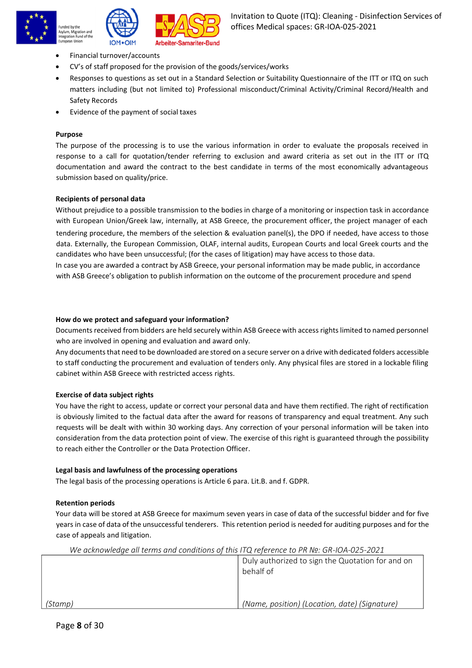





- Financial turnover/accounts
- CV's of staff proposed for the provision of the goods/services/works
- Responses to questions as set out in a Standard Selection or Suitability Questionnaire of the ITT or ITQ on such matters including (but not limited to) Professional misconduct/Criminal Activity/Criminal Record/Health and Safety Records
- Evidence of the payment of social taxes

### **Purpose**

The purpose of the processing is to use the various information in order to evaluate the proposals received in response to a call for quotation/tender referring to exclusion and award criteria as set out in the ITT or ITQ documentation and award the contract to the best candidate in terms of the most economically advantageous submission based on quality/price.

### **Recipients of personal data**

Without prejudice to a possible transmission to the bodies in charge of a monitoring or inspection task in accordance with European Union/Greek law, internally, at ASB Greece, the procurement officer, the project manager of each

tendering procedure, the members of the selection & evaluation panel(s), the DPO if needed, have access to those data. Externally, the European Commission, OLAF, internal audits, European Courts and local Greek courts and the candidates who have been unsuccessful; (for the cases of litigation) may have access to those data.

In case you are awarded a contract by ASB Greece, your personal information may be made public, in accordance with ASB Greece's obligation to publish information on the outcome of the procurement procedure and spend

### **How do we protect and safeguard your information?**

Documents received from bidders are held securely within ASB Greece with access rightslimited to named personnel who are involved in opening and evaluation and award only.

Any documents that need to be downloaded are stored on a secure server on a drive with dedicated folders accessible to staff conducting the procurement and evaluation of tenders only. Any physical files are stored in a lockable filing cabinet within ASB Greece with restricted access rights.

### **Exercise of data subject rights**

You have the right to access, update or correct your personal data and have them rectified. The right of rectification is obviously limited to the factual data after the award for reasons of transparency and equal treatment. Any such requests will be dealt with within 30 working days. Any correction of your personal information will be taken into consideration from the data protection point of view. The exercise of this right is guaranteed through the possibility to reach either the Controller or the Data Protection Officer.

### **Legal basis and lawfulness of the processing operations**

The legal basis of the processing operations is Article 6 para. Lit.B. and f. GDPR.

### **Retention periods**

Your data will be stored at ASB Greece for maximum seven years in case of data of the successful bidder and for five years in case of data of the unsuccessful tenderers. This retention period is needed for auditing purposes and for the case of appeals and litigation.

|         | Duly authorized to sign the Quotation for and on<br>behalf of |
|---------|---------------------------------------------------------------|
| (Stamp) | (Name, position) (Location, date) (Signature)                 |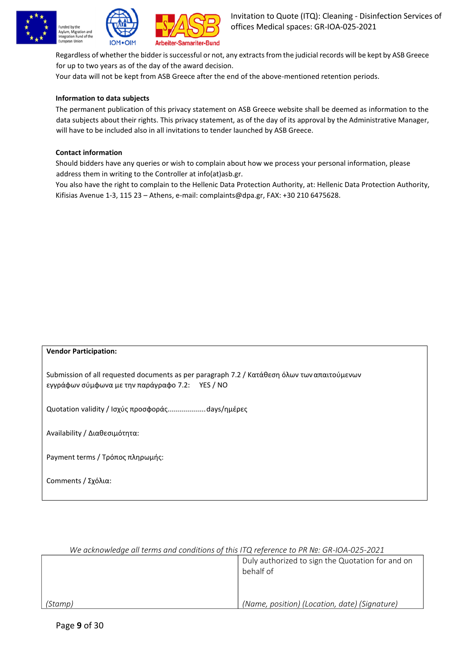





Regardless of whether the bidder is successful or not, any extracts from the judicial records will be kept by ASB Greece for up to two years as of the day of the award decision.

Your data will not be kept from ASB Greece after the end of the above-mentioned retention periods.

# **Information to data subjects**

The permanent publication of this privacy statement on ASB Greece website shall be deemed as information to the data subjects about their rights. This privacy statement, as of the day of its approval by the Administrative Manager, will have to be included also in all invitations to tender launched by ASB Greece.

# **Contact information**

Should bidders have any queries or wish to complain about how we process your personal information, please address them in writing to the Controller at info(at)asb.gr.

You also have the right to complain to the Hellenic Data Protection Authority, at: Hellenic Data Protection Authority, Kifisias Avenue 1-3, 115 23 – Athens, e-mail: [complaints@dpa.gr, F](mailto:complaints@dpa.gr)AX: +30 210 6475628.

# **Vendor Participation:**

Submission of all requested documents as per paragraph 7.2 / Κατάθεση όλων τωναπαιτούμενων εγγράφων σύμφωνα με την παράγραφο 7.2: YES / NO

Quotation validity / Ισχύς προσφοράς...................days/ημέρες

Availability / Διαθεσιμότητα:

Payment terms / Τρόπος πληρωμής:

Comments / Σχόλια:

# *We acknowledge all terms and conditions of this ITQ reference to PR №: GR-IOA-025-2021* Duly authorized to sign the Quotation for and on behalf of *(Stamp) (Name, position) (Location, date) (Signature)*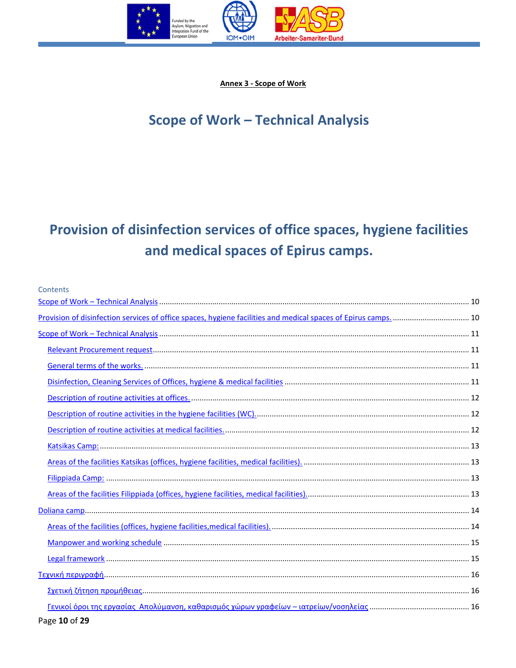

Annex 3 - Scope of Work

# <span id="page-9-0"></span>**Scope of Work - Technical Analysis**

# <span id="page-9-1"></span>Provision of disinfection services of office spaces, hygiene facilities and medical spaces of Epirus camps.

| Contents |  |
|----------|--|
|          |  |
|          |  |
|          |  |
|          |  |
|          |  |
|          |  |
|          |  |
|          |  |
|          |  |
|          |  |
|          |  |
|          |  |
|          |  |
|          |  |
|          |  |
|          |  |
|          |  |
|          |  |
|          |  |
|          |  |

Page 10 of 29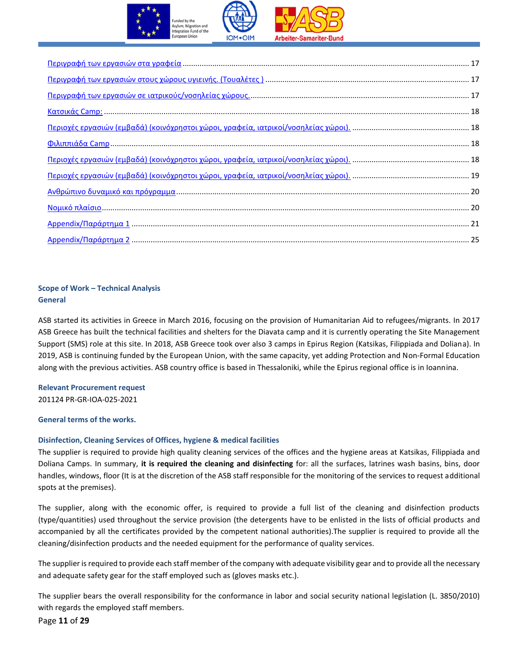

| $0.18$ $0.1711466$ $0.2811$ $0.1811466$ $0.2811466$ $0.2811466$ $0.2811466$ $0.2811466$ $0.2811466$ $0.2811466$ $0.2811466$ $0.2811466$ $0.2811466$ $0.2811466$ $0.2811466$ $0.2811466$ $0.2811466$ $0.2811466$ $0.2811466$ |  |
|-----------------------------------------------------------------------------------------------------------------------------------------------------------------------------------------------------------------------------|--|
|                                                                                                                                                                                                                             |  |
|                                                                                                                                                                                                                             |  |
|                                                                                                                                                                                                                             |  |
|                                                                                                                                                                                                                             |  |
|                                                                                                                                                                                                                             |  |
|                                                                                                                                                                                                                             |  |

# <span id="page-10-0"></span>**Scοpe of Work – Technical Analysis General**

ASB started its activities in Greece in March 2016, focusing on the provision of Humanitarian Aid to refugees/migrants. In 2017 ASB Greece has built the technical facilities and shelters for the Diavata camp and it is currently operating the Site Management Support (SMS) role at this site. In 2018, ASB Greece took over also 3 camps in Epirus Region (Katsikas, Filippiada and Doliana). In 2019, ASB is continuing funded by the European Union, with the same capacity, yet adding Protection and Non-Formal Education along with the previous activities. ASB country office is based in Thessaloniki, while the Epirus regional office is in Ioannina.

# <span id="page-10-1"></span>**Relevant Procurement request** 201124 PR-GR-IOA-025-2021

<span id="page-10-2"></span>**General terms of the works.**

# <span id="page-10-3"></span>**Disinfection, Cleaning Services of Offices, hygiene & medical facilities**

The supplier is required to provide high quality cleaning services of the offices and the hygiene areas at Katsikas, Filippiada and Doliana Camps. In summary, **it is required the cleaning and disinfecting** for: all the surfaces, latrines wash basins, bins, door handles, windows, floor (It is at the discretion of the ASB staff responsible for the monitoring of the services to request additional spots at the premises).

The supplier, along with the economic offer, is required to provide a full list of the cleaning and disinfection products (type/quantities) used throughout the service provision (the detergents have to be enlisted in the lists of official products and accompanied by all the certificates provided by the competent national authorities).The supplier is required to provide all the cleaning/disinfection products and the needed equipment for the performance of quality services.

The supplier is required to provide each staff member of the company with adequate visibility gear and to provide all the necessary and adequate safety gear for the staff employed such as (gloves masks etc.).

The supplier bears the overall responsibility for the conformance in labor and social security national legislation (L. 3850/2010) with regards the employed staff members.

Page **11** of **29**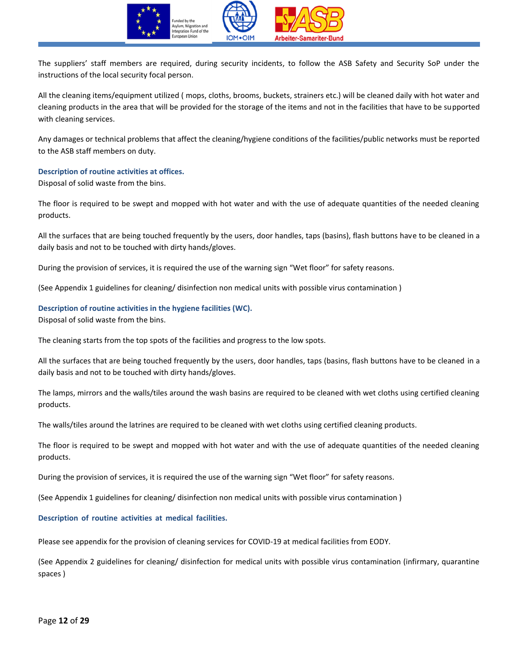

The suppliers' staff members are required, during security incidents, to follow the ASB Safety and Security SoP under the instructions of the local security focal person.

All the cleaning items/equipment utilized ( mops, cloths, brooms, buckets, strainers etc.) will be cleaned daily with hot water and cleaning products in the area that will be provided for the storage of the items and not in the facilities that have to be supported with cleaning services.

Any damages or technical problems that affect the cleaning/hygiene conditions of the facilities/public networks must be reported to the ASB staff members on duty.

#### <span id="page-11-0"></span>**Description of routine activities at offices.**

Disposal of solid waste from the bins.

The floor is required to be swept and mopped with hot water and with the use of adequate quantities of the needed cleaning products.

All the surfaces that are being touched frequently by the users, door handles, taps (basins), flash buttons have to be cleaned in a daily basis and not to be touched with dirty hands/gloves.

During the provision of services, it is required the use of the warning sign "Wet floor" for safety reasons.

(See Appendix 1 guidelines for cleaning/ disinfection non medical units with possible virus contamination )

#### <span id="page-11-1"></span>**Description of routine activities in the hygiene facilities (WC).**

Disposal of solid waste from the bins.

The cleaning starts from the top spots of the facilities and progress to the low spots.

All the surfaces that are being touched frequently by the users, door handles, taps (basins, flash buttons have to be cleaned in a daily basis and not to be touched with dirty hands/gloves.

The lamps, mirrors and the walls/tiles around the wash basins are required to be cleaned with wet cloths using certified cleaning products.

The walls/tiles around the latrines are required to be cleaned with wet cloths using certified cleaning products.

The floor is required to be swept and mopped with hot water and with the use of adequate quantities of the needed cleaning products.

During the provision of services, it is required the use of the warning sign "Wet floor" for safety reasons.

(See Appendix 1 guidelines for cleaning/ disinfection non medical units with possible virus contamination )

#### <span id="page-11-2"></span>**Description of routine activities at medical facilities.**

Please see appendix for the provision of cleaning services for COVID-19 at medical facilities from EODY.

(See Appendix 2 guidelines for cleaning/ disinfection for medical units with possible virus contamination (infirmary, quarantine spaces )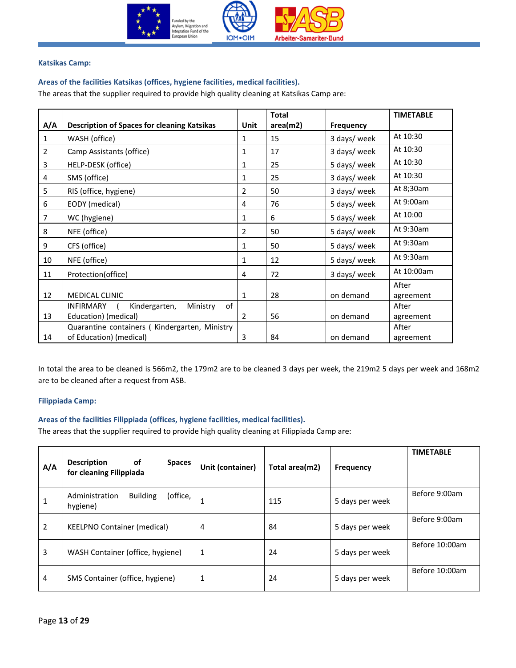

#### <span id="page-12-1"></span><span id="page-12-0"></span>**Katsikas Camp:**

# **Areas of the facilities Katsikas (offices, hygiene facilities, medical facilities).**

The areas that the supplier required to provide high quality cleaning at Katsikas Camp are:

|                |                                                     |                | <b>Total</b> |                  | <b>TIMETABLE</b> |
|----------------|-----------------------------------------------------|----------------|--------------|------------------|------------------|
| A/A            | <b>Description of Spaces for cleaning Katsikas</b>  | Unit           | area(m2)     | <b>Frequency</b> |                  |
| 1              | WASH (office)                                       | 1              | 15           | 3 days/ week     | At 10:30         |
| $\overline{2}$ | Camp Assistants (office)                            | 1              | 17           | 3 days/ week     | At 10:30         |
| 3              | HELP-DESK (office)                                  | 1              | 25           | 5 days/ week     | At 10:30         |
| 4              | SMS (office)                                        | 1              | 25           | 3 days/ week     | At 10:30         |
| 5              | RIS (office, hygiene)                               | $\overline{2}$ | 50           | 3 days/ week     | At 8;30am        |
| 6              | EODY (medical)                                      | 4              | 76           | 5 days/ week     | At 9:00am        |
| $\overline{7}$ | WC (hygiene)                                        | 1              | 6            | 5 days/ week     | At 10:00         |
| 8              | NFE (office)                                        | 2              | 50           | 5 days/ week     | At 9:30am        |
| 9              | CFS (office)                                        | 1              | 50           | 5 days/ week     | At 9:30am        |
| 10             | NFE (office)                                        | 1              | 12           | 5 days/ week     | At 9:30am        |
| 11             | Protection(office)                                  | 4              | 72           | 3 days/ week     | At 10:00am       |
|                |                                                     |                |              |                  | After            |
| 12             | <b>MEDICAL CLINIC</b>                               | $\mathbf{1}$   | 28           | on demand        | agreement        |
|                | of<br><b>INFIRMARY</b><br>Kindergarten,<br>Ministry |                |              |                  | After            |
| 13             | Education) (medical)                                | $\overline{2}$ | 56           | on demand        | agreement        |
|                | Quarantine containers (Kindergarten, Ministry       |                |              |                  | After            |
| 14             | of Education) (medical)                             | 3              | 84           | on demand        | agreement        |

In total the area to be cleaned is 566m2, the 179m2 are to be cleaned 3 days per week, the 219m2 5 days per week and 168m2 are to be cleaned after a request from ASB.

### <span id="page-12-2"></span>**Filippiada Camp:**

### <span id="page-12-3"></span>**Areas of the facilities Filippiada (offices, hygiene facilities, medical facilities).**

The areas that the supplier required to provide high quality cleaning at Filippiada Camp are:

| A/A | <b>Description</b><br>οf<br><b>Spaces</b><br>for cleaning Filippiada | Unit (container) | Total area(m2) | <b>Frequency</b> | <b>TIMETABLE</b> |
|-----|----------------------------------------------------------------------|------------------|----------------|------------------|------------------|
| 1   | (office,<br><b>Building</b><br>Administration<br>hygiene)            | 1                | 115            | 5 days per week  | Before 9:00am    |
| 2   | <b>KEELPNO Container (medical)</b>                                   | 4                | 84             | 5 days per week  | Before 9:00am    |
| 3   | WASH Container (office, hygiene)                                     | 1                | 24             | 5 days per week  | Before 10:00am   |
| 4   | SMS Container (office, hygiene)                                      | 1                | 24             | 5 days per week  | Before 10:00am   |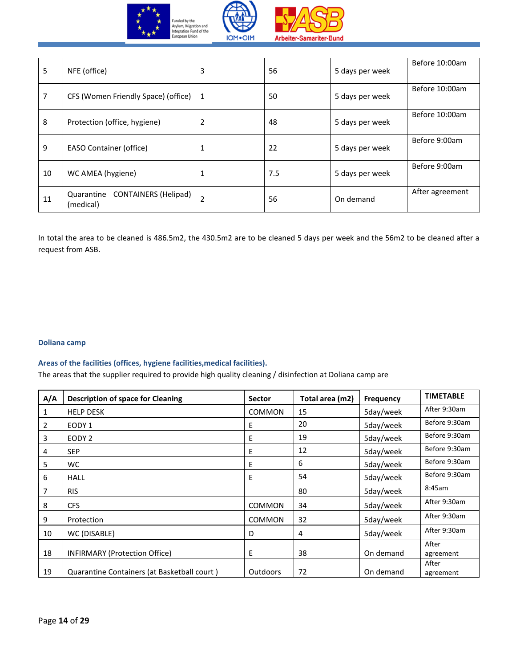



| 5  | NFE (office)                                           | 3              | 56  | 5 days per week | Before 10:00am  |
|----|--------------------------------------------------------|----------------|-----|-----------------|-----------------|
| 7  | CFS (Women Friendly Space) (office)                    | 1              | 50  | 5 days per week | Before 10:00am  |
| 8  | Protection (office, hygiene)                           | $\overline{2}$ | 48  | 5 days per week | Before 10:00am  |
| 9  | <b>EASO Container (office)</b>                         | 1              | 22  | 5 days per week | Before 9:00am   |
| 10 | WC AMEA (hygiene)                                      | 1              | 7.5 | 5 days per week | Before 9:00am   |
| 11 | <b>CONTAINERS (Helipad)</b><br>Quarantine<br>(medical) | $\overline{2}$ | 56  | On demand       | After agreement |

In total the area to be cleaned is 486.5m2, the 430.5m2 are to be cleaned 5 days per week and the 56m2 to be cleaned after a request from ASB.

# <span id="page-13-0"></span>**Doliana camp**

### <span id="page-13-1"></span>**Areas of the facilities (offices, hygiene facilities,medical facilities).**

The areas that the supplier required to provide high quality cleaning / disinfection at Doliana camp are

| A/A | <b>Description of space for Cleaning</b>    | <b>Sector</b> | Total area (m2) | Frequency | <b>TIMETABLE</b>   |
|-----|---------------------------------------------|---------------|-----------------|-----------|--------------------|
| 1   | <b>HELP DESK</b>                            | <b>COMMON</b> | 15              | 5day/week | After 9:30am       |
| 2   | EODY 1                                      | Ε             | 20              | 5day/week | Before 9:30am      |
| 3   | EODY <sub>2</sub>                           | E             | 19              | 5day/week | Before 9:30am      |
| 4   | <b>SEP</b>                                  | E             | 12              | 5day/week | Before 9:30am      |
| 5   | WC.                                         | E             | 6               | 5day/week | Before 9:30am      |
| 6   | <b>HALL</b>                                 | E             | 54              | 5day/week | Before 9:30am      |
| 7   | <b>RIS</b>                                  |               | 80              | 5day/week | 8:45am             |
| 8   | <b>CFS</b>                                  | <b>COMMON</b> | 34              | 5day/week | After 9:30am       |
| 9   | Protection                                  | <b>COMMON</b> | 32              | 5day/week | After 9:30am       |
| 10  | WC (DISABLE)                                | D             | 4               | 5day/week | After 9:30am       |
| 18  | INFIRMARY (Protection Office)               | E             | 38              | On demand | After<br>agreement |
| 19  | Quarantine Containers (at Basketball court) | Outdoors      | 72              | On demand | After<br>agreement |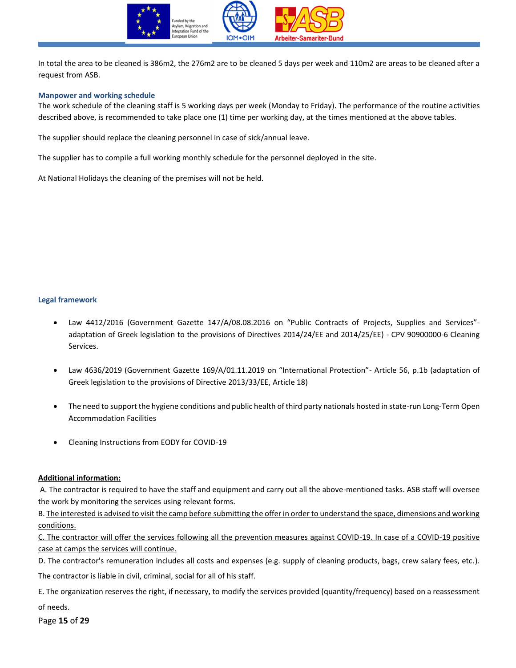

In total the area to be cleaned is 386m2, the 276m2 are to be cleaned 5 days per week and 110m2 are areas to be cleaned after a request from ASB.

#### <span id="page-14-0"></span>**Manpower and working schedule**

The work schedule of the cleaning staff is 5 working days per week (Monday to Friday). The performance of the routine activities described above, is recommended to take place one (1) time per working day, at the times mentioned at the above tables.

The supplier should replace the cleaning personnel in case of sick/annual leave.

The supplier has to compile a full working monthly schedule for the personnel deployed in the site.

At National Holidays the cleaning of the premises will not be held.

#### <span id="page-14-1"></span>**Legal framework**

- Law 4412/2016 (Government Gazette 147/A/08.08.2016 on "Public Contracts of Projects, Supplies and Services" adaptation of Greek legislation to the provisions of Directives 2014/24/EE and 2014/25/EE) - CPV 90900000-6 Cleaning Services.
- Law 4636/2019 (Government Gazette 169/A/01.11.2019 on "International Protection"- Article 56, p.1b (adaptation of Greek legislation to the provisions of Directive 2013/33/EE, Article 18)
- The need to support the hygiene conditions and public health of third party nationals hosted in state-run Long-Term Open Accommodation Facilities
- Cleaning Instructions from EODY for COVID-19

### **Additional information:**

A. The contractor is required to have the staff and equipment and carry out all the above-mentioned tasks. ASB staff will oversee the work by monitoring the services using relevant forms.

B. The interested is advised to visit the camp before submitting the offer in order to understand the space, dimensions and working conditions.

C. The contractor will offer the services following all the prevention measures against COVID-19. In case of a COVID-19 positive case at camps the services will continue.

D. The contractor's remuneration includes all costs and expenses (e.g. supply of cleaning products, bags, crew salary fees, etc.).

The contractor is liable in civil, criminal, social for all of his staff.

E. The organization reserves the right, if necessary, to modify the services provided (quantity/frequency) based on a reassessment of needs.

Page **15** of **29**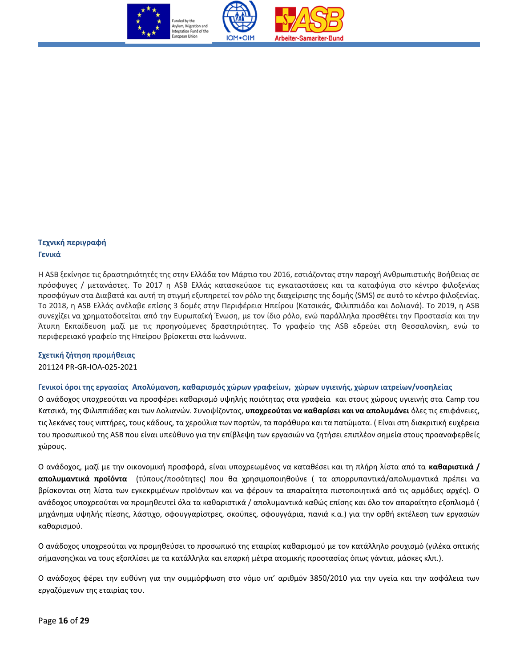

# <span id="page-15-0"></span>**Τεχνική περιγραφή Γενικά**

Η ASB ξεκίνησε τις δραστηριότητές της στην Ελλάδα τον Μάρτιο του 2016, εστιάζοντας στην παροχή Ανθρωπιστικής Βοήθειας σε πρόσφυγες / μετανάστες. Το 2017 η ASB Ελλάς κατασκεύασε τις εγκαταστάσεις και τα καταφύγια στο κέντρο φιλοξενίας προσφύγων στα Διαβατά και αυτή τη στιγμή εξυπηρετεί τον ρόλο της διαχείρισης της δομής (SMS) σε αυτό το κέντρο φιλοξενίας. Το 2018, η ASB Ελλάς ανέλαβε επίσης 3 δομές στην Περιφέρεια Ηπείρου (Κατσικάς, Φιλιππιάδα και Δολιανά). Το 2019, η ASB συνεχίζει να χρηματοδοτείται από την Ευρωπαϊκή Ένωση, με τον ίδιο ρόλο, ενώ παράλληλα προσθέτει την Προστασία και την Άτυπη Εκπαίδευση μαζί με τις προηγούμενες δραστηριότητες. Το γραφείο της ASB εδρεύει στη Θεσσαλονίκη, ενώ το περιφερειακό γραφείο της Ηπείρου βρίσκεται στα Ιωάννινα.

# <span id="page-15-1"></span>**Σχετική ζήτηση προμήθειας**

201124 PR-GR-IOA-025-2021

# <span id="page-15-2"></span>**Γενικοί όροι της εργασίας Απολύμανση, καθαρισμός χώρων γραφείων, χώρων υγιεινής, χώρων ιατρείων/νοσηλείας**

Ο ανάδοχος υποχρεούται να προσφέρει καθαρισμό υψηλής ποιότητας στα γραφεία και στους χώρους υγιεινής στα Camp του Κατσικά, της Φιλιππιάδας και των Δολιανών. Συνοψίζοντας, **υποχρεούται να καθαρίσει και να απολυμάνει** όλες τις επιφάνειες, τις λεκάνες τους νιπτήρες, τους κάδους, τα χερούλια των πορτών, τα παράθυρα και τα πατώματα. ( Είναι στη διακριτική ευχέρεια του προσωπικού της ASB που είναι υπεύθυνο για την επίβλεψη των εργασιών να ζητήσει επιπλέον σημεία στους προαναφερθείς χώρους.

Ο ανάδοχος, μαζί με την οικονομική προσφορά, είναι υποχρεωμένος να καταθέσει και τη πλήρη λίστα από τα **καθαριστικά / απολυμαντικά προϊόντα** (τύπους/ποσότητες) που θα χρησιμοποιηθούνε ( τα απορρυπαντικά/απολυμαντικά πρέπει να βρίσκονται στη λίστα των εγκεκριμένων προϊόντων και να φέρουν τα απαραίτητα πιστοποιητικά από τις αρμόδιες αρχές). Ο ανάδοχος υποχρεούται να προμηθευτεί όλα τα καθαριστικά / απολυμαντικά καθώς επίσης και όλο τον απαραίτητο εξοπλισμό ( μηχάνημα υψηλής πίεσης, λάστιχο, σφουγγαρίστρες, σκούπες, σφουγγάρια, πανιά κ.α.) για την ορθή εκτέλεση των εργασιών καθαρισμού.

Ο ανάδοχος υποχρεούται να προμηθεύσει το προσωπικό της εταιρίας καθαρισμού με τον κατάλληλο ρουχισμό (γιλέκα οπτικής σήμανσης)και να τους εξοπλίσει με τα κατάλληλα και επαρκή μέτρα ατομικής προστασίας όπως γάντια, μάσκες κλπ.).

Ο ανάδοχος φέρει την ευθύνη για την συμμόρφωση στο νόμο υπ' αριθμόν 3850/2010 για την υγεία και την ασφάλεια των εργαζόμενων της εταιρίας του.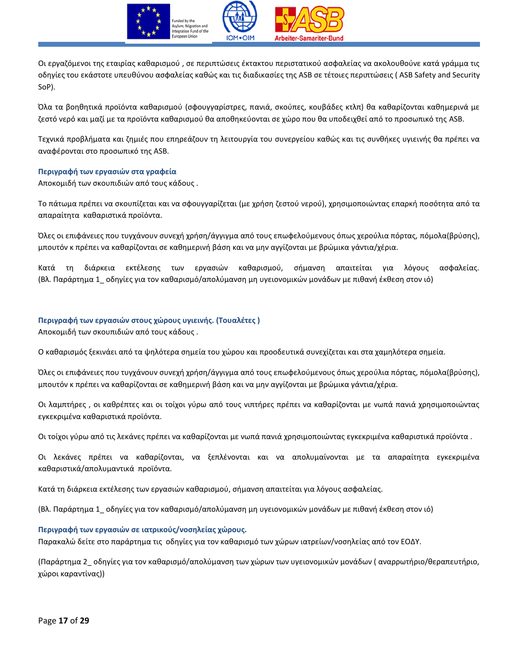

Οι εργαζόμενοι της εταιρίας καθαρισμού , σε περιπτώσεις έκτακτου περιστατικού ασφαλείας να ακολουθούνε κατά γράμμα τις οδηγίες του εκάστοτε υπευθύνου ασφαλείας καθώς και τις διαδικασίες της ASB σε τέτοιες περιπτώσεις ( ASB Safety and Security SoP).

Όλα τα βοηθητικά προϊόντα καθαρισμού (σφουγγαρίστρες, πανιά, σκούπες, κουβάδες κτλπ) θα καθαρίζονται καθημερινά με ζεστό νερό και μαζί με τα προϊόντα καθαρισμού θα αποθηκεύονται σε χώρο που θα υποδειχθεί από το προσωπικό της ASB.

Τεχνικά προβλήματα και ζημιές που επηρεάζουν τη λειτουργία του συνεργείου καθώς και τις συνθήκες υγιεινής θα πρέπει να αναφέρονται στο προσωπικό της ASB.

### <span id="page-16-0"></span>**Περιγραφή των εργασιών στα γραφεία**

Αποκομιδή των σκουπιδιών από τους κάδους .

Το πάτωμα πρέπει να σκουπίζεται και να σφουγγαρίζεται (με χρήση ζεστού νερού), χρησιμοποιώντας επαρκή ποσότητα από τα απαραίτητα καθαριστικά προϊόντα.

Όλες οι επιφάνειες που τυγχάνουν συνεχή χρήση/άγγιγμα από τους επωφελούμενους όπως χερούλια πόρτας, πόμολα(βρύσης), μπουτόν κ πρέπει να καθαρίζονται σε καθημερινή βάση και να μην αγγίζονται με βρώμικα γάντια/χέρια.

Κατά τη διάρκεια εκτέλεσης των εργασιών καθαρισμού, σήμανση απαιτείται για λόγους ασφαλείας. (Βλ. Παράρτημα 1\_ οδηγίες για τον καθαρισμό/απολύμανση μη υγειονομικών μονάδων με πιθανή έκθεση στον ιό)

#### <span id="page-16-1"></span>**Περιγραφή των εργασιών στους χώρους υγιεινής. (Τουαλέτες )**

Αποκομιδή των σκουπιδιών από τους κάδους .

Ο καθαρισμός ξεκινάει από τα ψηλότερα σημεία του χώρου και προοδευτικά συνεχίζεται και στα χαμηλότερα σημεία.

Όλες οι επιφάνειες που τυγχάνουν συνεχή χρήση/άγγιγμα από τους επωφελούμενους όπως χερούλια πόρτας, πόμολα(βρύσης), μπουτόν κ πρέπει να καθαρίζονται σε καθημερινή βάση και να μην αγγίζονται με βρώμικα γάντια/χέρια.

Οι λαμπτήρες , οι καθρέπτες και οι τοίχοι γύρω από τους νιπτήρες πρέπει να καθαρίζονται με νωπά πανιά χρησιμοποιώντας εγκεκριμένα καθαριστικά προϊόντα.

Οι τοίχοι γύρω από τις λεκάνες πρέπει να καθαρίζονται με νωπά πανιά χρησιμοποιώντας εγκεκριμένα καθαριστικά προϊόντα .

Οι λεκάνες πρέπει να καθαρίζονται, να ξεπλένονται και να απολυμαίνονται με τα απαραίτητα εγκεκριμένα καθαριστικά/απολυμαντικά προϊόντα.

Κατά τη διάρκεια εκτέλεσης των εργασιών καθαρισμού, σήμανση απαιτείται για λόγους ασφαλείας.

(Βλ. Παράρτημα 1\_ οδηγίες για τον καθαρισμό/απολύμανση μη υγειονομικών μονάδων με πιθανή έκθεση στον ιό)

#### <span id="page-16-2"></span>**Περιγραφή των εργασιών σε ιατρικούς/νοσηλείας χώρους.**

Παρακαλώ δείτε στο παράρτημα τις οδηγίες για τον καθαρισμό των χώρων ιατρείων/νοσηλείας από τον ΕΟΔΥ.

(Παράρτημα 2\_ οδηγίες για τον καθαρισμό/απολύμανση των χώρων των υγειονομικών μονάδων ( αναρρωτήριο/θεραπευτήριο, χώροι καραντίνας))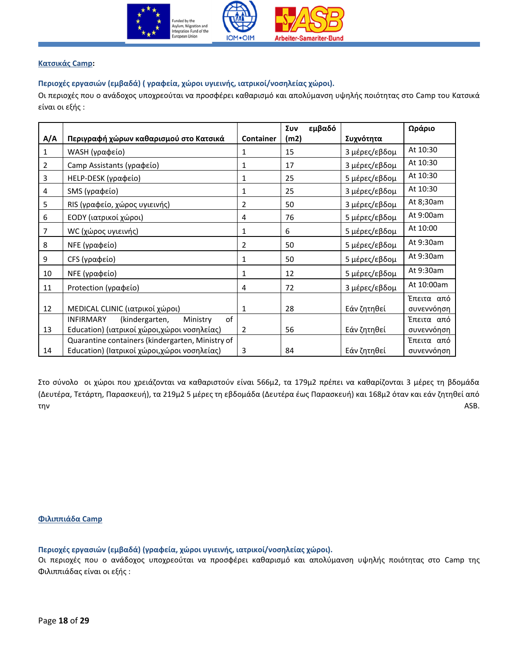

# <span id="page-17-0"></span>**Κατσικάς Camp:**

# <span id="page-17-1"></span>**Περιοχές εργασιών (εμβαδά) ( γραφεία, χώροι υγιεινής, ιατρικοί/νοσηλείας χώροι).**

Οι περιοχές που ο ανάδοχος υποχρεούται να προσφέρει καθαρισμό και απολύμανση υψηλής ποιότητας στο Camp του Κατσικά είναι οι εξής :

|     |                                                      |                  | εμβαδό<br>Συν |               | Ωράριο                   |
|-----|------------------------------------------------------|------------------|---------------|---------------|--------------------------|
| A/A | Περιγραφή χώρων καθαρισμού στο Κατσικά               | <b>Container</b> | (m2)          | Συχνότητα     |                          |
| 1   | WASH (γραφείο)                                       | 1                | 15            | 3 μέρες/εβδομ | At 10:30                 |
| 2   | Camp Assistants (γραφείο)                            | 1                | 17            | 3 μέρες/εβδομ | At 10:30                 |
| 3   | HELP-DESK (γραφείο)                                  | 1                | 25            | 5 μέρες/εβδομ | At 10:30                 |
| 4   | SMS (γραφείο)                                        | 1                | 25            | 3 μέρες/εβδομ | At 10:30                 |
| 5   | RIS (γραφείο, χώρος υγιεινής)                        | $\overline{2}$   | 50            | 3 μέρες/εβδομ | At 8;30am                |
| 6   | ΕΟDΥ (ιατρικοί χώροι)                                | 4                | 76            | 5 μέρες/εβδομ | At 9:00am                |
| 7   | WC (χώρος υγιεινής)                                  | 1                | 6             | 5 μέρες/εβδομ | At 10:00                 |
| 8   | NFE (γραφείο)                                        | 2                | 50            | 5 μέρες/εβδομ | At 9:30am                |
| 9   | CFS (γραφείο)                                        | 1                | 50            | 5 μέρες/εβδομ | At 9:30am                |
| 10  | NFE (γραφείο)                                        | 1                | 12            | 5 μέρες/εβδομ | At 9:30am                |
| 11  | Protection (γραφείο)                                 | 4                | 72            | 3 μέρες/εβδομ | At 10:00am               |
| 12  | MEDICAL CLINIC (ιατρικοί χώροι)                      | 1                | 28            | Εάν ζητηθεί   | Έπειτα από<br>συνεννόηση |
|     | <b>INFIRMARY</b><br>(kindergarten,<br>Ministry<br>of |                  |               |               | Έπειτα από               |
| 13  | Education) (ιατρικοί χώροι,χώροι νοσηλείας)          | $\overline{2}$   | 56            | Εάν ζητηθεί   | συνεννόηση               |
|     | Quarantine containers (kindergarten, Ministry of     |                  |               |               | Έπειτα από               |
| 14  | Education) (Ιατρικοί χώροι,χώροι νοσηλείας)          | 3                | 84            | Εάν ζητηθεί   | συνεννόηση               |

Στο σύνολο οι χώροι που χρειάζονται να καθαριστούν είναι 566μ2, τα 179μ2 πρέπει να καθαρίζονται 3 μέρες τη βδομάδα (Δευτέρα, Τετάρτη, Παρασκευή), τα 219μ2 5 μέρες τη εβδομάδα (Δευτέρα έως Παρασκευή) και 168μ2 όταν και εάν ζητηθεί από την ASB.

### <span id="page-17-2"></span>**Φιλιππιάδα Camp**

<span id="page-17-3"></span>**Περιοχές εργασιών (εμβαδά) (γραφεία, χώροι υγιεινής, ιατρικοί/νοσηλείας χώροι).** 

Οι περιοχές που ο ανάδοχος υποχρεούται να προσφέρει καθαρισμό και απολύμανση υψηλής ποιότητας στο Camp της Φιλιππιάδας είναι οι εξής :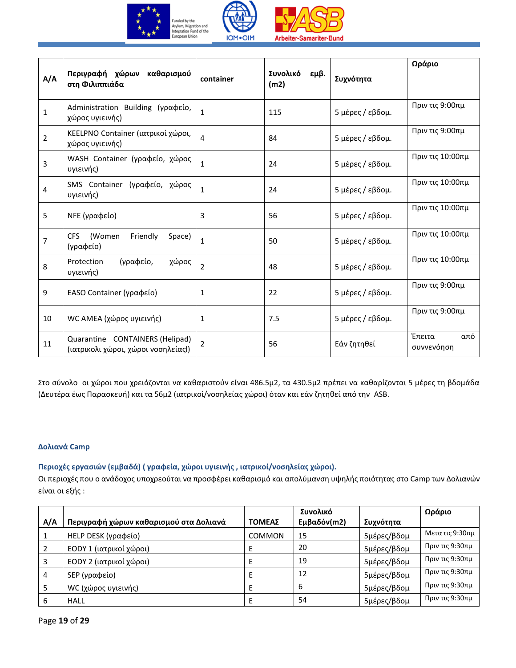



| A/A            | Περιγραφή χώρων<br>καθαρισμού<br>στη Φιλιππιάδα                        | container      | Συνολικό<br>εμβ.<br>(m2) | Συχνότητα        | Ωράριο                      |
|----------------|------------------------------------------------------------------------|----------------|--------------------------|------------------|-----------------------------|
| $\mathbf 1$    | Administration Building (γραφείο,<br>χώρος υγιεινής)                   | 1              | 115                      | 5 μέρες / εβδομ. | Πριν τις 9:00πμ             |
| $\overline{2}$ | KEELPNO Container (ιατρικοί χώροι,<br>χώρος υγιεινής)                  | 4              | 84                       | 5 μέρες / εβδομ. | Πριν τις 9:00πμ             |
| 3              | WASH Container (γραφείο, χώρος<br>υγιεινής)                            | $\mathbf{1}$   | 24                       | 5 μέρες / εβδομ. | Πριν τις 10:00πμ            |
| $\overline{4}$ | SMS Container (γραφείο, χώρος<br>υγιεινής)                             | $\mathbf{1}$   | 24                       | 5 μέρες / εβδομ. | Πριν τις 10:00πμ            |
| 5              | ΝΕΕ (γραφείο)                                                          | 3              | 56                       | 5 μέρες / εβδομ. | Πριν τις 10:00πμ            |
| $\overline{7}$ | CFS<br>Friendly<br>(Women<br>Space)<br>(γραφείο)                       | $\mathbf{1}$   | 50                       | 5 μέρες / εβδομ. | Πριν τις 10:00πμ            |
| 8              | (γραφείο,<br>Protection<br>χώρος<br>υγιεινής)                          | 2              | 48                       | 5 μέρες / εβδομ. | Πριν τις 10:00πμ            |
| 9              | EASO Container (γραφείο)                                               | $\mathbf{1}$   | 22                       | 5 μέρες / εβδομ. | Πριν τις 9:00πμ             |
| 10             | WC AMEA (χώρος υγιεινής)                                               | $\mathbf{1}$   | 7.5                      | 5 μέρες / εβδομ. | Πριν τις 9:00πμ             |
| 11             | Quarantine CONTAINERS (Helipad)<br>(ιατρικολι χώροι, χώροι νοσηλείαςΙ) | $\overline{2}$ | 56                       | Εάν ζητηθεί      | Έπειτα<br>από<br>συννενόηση |

Στο σύνολο οι χώροι που χρειάζονται να καθαριστούν είναι 486.5μ2, τα 430.5μ2 πρέπει να καθαρίζονται 5 μέρες τη βδομάδα (Δευτέρα έως Παρασκευή) και τα 56μ2 (ιατρικοί/νοσηλείας χώροι) όταν και εάν ζητηθεί από την ASB.

# **Δολιανά Camp**

# <span id="page-18-0"></span>**Περιοχές εργασιών (εμβαδά) ( γραφεία, χώροι υγιεινής , ιατρικοί/νοσηλείας χώροι).**

Οι περιοχές που ο ανάδοχος υποχρεούται να προσφέρει καθαρισμό και απολύμανση υψηλής ποιότητας στο Camp των Δολιανών είναι οι εξής :

|     |                                        |               | Συνολικό    |             | Ωράριο          |
|-----|----------------------------------------|---------------|-------------|-------------|-----------------|
| A/A | Περιγραφή χώρων καθαρισμού στα Δολιανά | ΤΟΜΕΑΣ        | Εμβαδόν(m2) | Συχνότητα   |                 |
|     | HELP DESK (γραφείο)                    | <b>COMMON</b> | 15          | 5μέρες/βδομ | Μετα τις 9:30πμ |
|     | ΕΟDΥ 1 (ιατρικοί χώροι)                |               | 20          | 5μέρες/βδομ | Πριν τις 9:30πμ |
|     | ΕΟDΥ 2 (ιατρικοί χώροι)                |               | 19          | 5μέρες/βδομ | Πριν τις 9:30πμ |
|     | SEP (γραφείο)                          |               | 12          | 5μέρες/βδομ | Πριν τις 9:30πμ |
|     | WC (χώρος υγιεινής)                    |               | 6           | 5μέρες/βδομ | Πριν τις 9:30πμ |
| 6   | HALL                                   |               | -54         | 5μέρες/βδομ | Πριν τις 9:30πμ |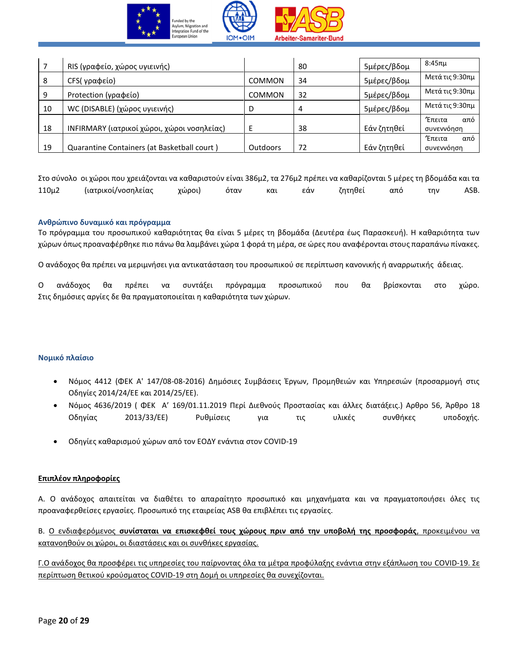

|    | RIS (γραφείο, χώρος υγιεινής)               |                 | 80 | 5μέρες/βδομ | 8:45πμ                             |
|----|---------------------------------------------|-----------------|----|-------------|------------------------------------|
| 8  | CFS(γραφείο)                                | <b>COMMON</b>   | 34 | 5μέρες/βδομ | Μετά τις 9:30πμ                    |
| 9  | Protection (γραφείο)                        | <b>COMMON</b>   | 32 | 5μέρες/βδομ | Μετά τις 9:30πμ                    |
| 10 | WC (DISABLE) (χώρος υγιεινής)               | D               | 4  | 5μέρες/βδομ | Μετά τις 9:30πμ                    |
| 18 | INFIRMARY (ιατρικοί χώροι, χώροι νοσηλείας) |                 | 38 | Εάν ζητηθεί | <b>Έπειτα</b><br>από<br>συνεννόηση |
| 19 | Quarantine Containers (at Basketball court) | <b>Outdoors</b> | 72 | Εάν ζητηθεί | <b>Έπειτα</b><br>από<br>συνεννόηση |

Στο σύνολο οι χώροι που χρειάζονται να καθαριστούν είναι 386μ2, τα 276μ2 πρέπει να καθαρίζονται 5 μέρες τη βδομάδα και τα 110μ2 (ιατρικοί/νοσηλείας χώροι) όταν και εάν ζητηθεί από την ASB.

# <span id="page-19-0"></span>**Ανθρώπινο δυναμικό και πρόγραμμα**

Το πρόγραμμα του προσωπικού καθαριότητας θα είναι 5 μέρες τη βδομάδα (Δευτέρα έως Παρασκευή). Η καθαριότητα των χώρων όπως προαναφέρθηκε πιο πάνω θα λαμβάνει χώρα 1 φορά τη μέρα, σε ώρες που αναφέρονται στους παραπάνω πίνακες.

Ο ανάδοχος θα πρέπει να μεριμνήσει για αντικατάσταση του προσωπικού σε περίπτωση κανονικής ή αναρρωτικής άδειας.

Ο ανάδοχος θα πρέπει να συντάξει πρόγραμμα προσωπικού που θα βρίσκονται στο χώρο. Στις δημόσιες αργίες δε θα πραγματοποιείται η καθαριότητα των χώρων.

### <span id="page-19-1"></span>**Νομικό πλαίσιο**

- Νόμος 4412 (ΦΕΚ Α' 147/08-08-2016) Δημόσιες Συμβάσεις Έργων, Προμηθειών και Υπηρεσιών (προσαρμογή στις Οδηγίες 2014/24/ΕΕ και 2014/25/ΕΕ).
- Νόμος 4636/2019 ( ΦΕΚ A' 169/01.11.2019 Περί Διεθνούς Προστασίας και άλλες διατάξεις.) Αρθρο 56, Άρθρο 18 Οδηγίας 2013/33/ΕΕ) Ρυθμίσεις για τις υλικές συνθήκες υποδοχής.
- Οδηγίες καθαρισμού χώρων από τον ΕΟΔΥ ενάντια στον COVID-19

### **Επιπλέον πληροφορίες**

Α. Ο ανάδοχος απαιτείται να διαθέτει το απαραίτητο προσωπικό και μηχανήματα και να πραγματοποιήσει όλες τις προαναφερθείσες εργασίες. Προσωπικό της εταιρείας ASB θα επιβλέπει τις εργασίες.

Β. Ο ενδιαφερόμενος **συνίσταται να επισκεφθεί τους χώρους πριν από την υποβολή της προσφοράς**, προκειμένου να κατανοηθούν οι χώροι, οι διαστάσεις και οι συνθήκες εργασίας.

Γ.Ο ανάδοχος θα προσφέρει τις υπηρεσίες του παίρνοντας όλα τα μέτρα προφύλαξης ενάντια στην εξάπλωση του COVID-19. Σε περίπτωση θετικού κρούσματος COVID-19 στη Δομή οι υπηρεσίες θα συνεχίζονται.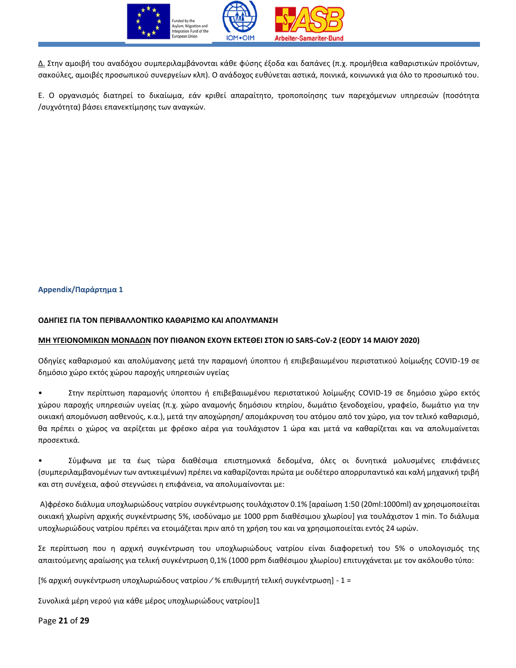

Δ. Στην αμοιβή του αναδόχου συμπεριλαμβάνονται κάθε φύσης έξοδα και δαπάνες (π.χ. προμήθεια καθαριστικών προϊόντων, σακούλες, αμοιβές προσωπικού συνεργείων κλπ). Ο ανάδοχος ευθύνεται αστικά, ποινικά, κοινωνικά για όλο το προσωπικό του.

E. Ο οργανισμός διατηρεί το δικαίωμα, εάν κριθεί απαραίτητο, τροποποίησης των παρεχόμενων υπηρεσιών (ποσότητα /συχνότητα) βάσει επανεκτίμησης των αναγκών.

# <span id="page-20-0"></span>**Αppendix/Παράρτημα 1**

### **ΟΔΗΓΙΕΣ ΓΙΑ ΤΟΝ ΠΕΡΙΒΑΛΛΟΝΤΙΚΟ ΚΑΘΑΡΙΣΜΟ ΚΑΙ ΑΠΟΛΥΜΑΝΣΗ**

### **ΜΗ ΥΓΕΙΟΝΟΜΙΚΩΝ ΜΟΝΑΔΩΝ ΠΟΥ ΠΙΘΑΝΟΝ ΕΧΟΥΝ ΕΚΤΕΘΕΙ ΣΤΟΝ ΙΟ SARS-CoV-2 (EODY 14 MAIOY 2020)**

Οδηγίες καθαρισμού και απολύμανσης μετά την παραμονή ύποπτου ή επιβεβαιωμένου περιστατικού λοίμωξης COVID-19 σε δημόσιο χώρο εκτός χώρου παροχής υπηρεσιών υγείας

• Στην περίπτωση παραμονής ύποπτου ή επιβεβαιωμένου περιστατικού λοίμωξης COVID-19 σε δημόσιο χώρο εκτός χώρου παροχής υπηρεσιών υγείας (π.χ. χώρο αναμονής δημόσιου κτηρίου, δωμάτιο ξενοδοχείου, γραφείο, δωμάτιο για την οικιακή απομόνωση ασθενούς, κ.α.), μετά την αποχώρηση/ απομάκρυνση του ατόμου από τον χώρο, για τον τελικό καθαρισμό, θα πρέπει ο χώρος να αερίζεται με φρέσκο αέρα για τουλάχιστον 1 ώρα και μετά να καθαρίζεται και να απολυμαίνεται προσεκτικά.

• Σύμφωνα με τα έως τώρα διαθέσιμα επιστημονικά δεδομένα, όλες οι δυνητικά μολυσμένες επιφάνειες (συμπεριλαμβανομένων των αντικειμένων) πρέπει να καθαρίζονται πρώτα με ουδέτερο απορρυπαντικό και καλή μηχανική τριβή και στη συνέχεια, αφού στεγνώσει η επιφάνεια, να απολυμαίνονται με:

Α)φρέσκο διάλυμα υποχλωριώδους νατρίου συγκέντρωσης τουλάχιστον 0.1% [αραίωση 1:50 (20ml:1000ml) αν χρησιμοποιείται οικιακή χλωρίνη αρχικής συγκέντρωσης 5%, ισοδύναμο με 1000 ppm διαθέσιμου χλωρίου] για τουλάχιστον 1 min. Το διάλυμα υποχλωριώδους νατρίου πρέπει να ετοιμάζεται πριν από τη χρήση του και να χρησιμοποιείται εντός 24 ωρών.

Σε περίπτωση που η αρχική συγκέντρωση του υποχλωριώδους νατρίου είναι διαφορετική του 5% ο υπολογισμός της απαιτούμενης αραίωσης για τελική συγκέντρωση 0,1% (1000 ppm διαθέσιμου χλωρίου) επιτυγχάνεται με τον ακόλουθο τύπο:

[% αρχική συγκέντρωση υποχλωριώδους νατρίου ∕ % επιθυμητή τελική συγκέντρωση] - 1 =

Συνολικά μέρη νερού για κάθε μέρος υποχλωριώδους νατρίου]1

Page **21** of **29**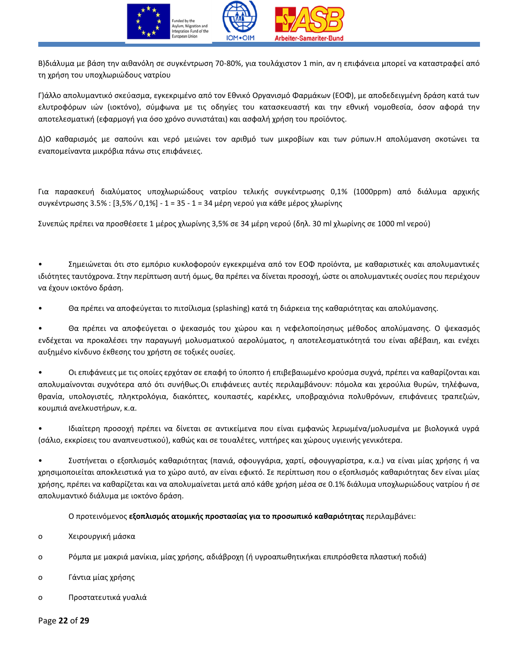

Β)διάλυμα με βάση την αιθανόλη σε συγκέντρωση 70-80%, για τουλάχιστον 1 min, αν η επιφάνεια μπορεί να καταστραφεί από τη χρήση του υποχλωριώδους νατρίου

Γ)άλλο απολυμαντικό σκεύασμα, εγκεκριμένο από τον Εθνικό Οργανισμό Φαρμάκων (ΕΟΦ), με αποδεδειγμένη δράση κατά των ελυτροφόρων ιών (ιοκτόνο), σύμφωνα με τις οδηγίες του κατασκευαστή και την εθνική νομοθεσία, όσον αφορά την αποτελεσματική (εφαρμογή για όσο χρόνο συνιστάται) και ασφαλή χρήση του προϊόντος.

Δ)Ο καθαρισμός με σαπούνι και νερό μειώνει τον αριθμό των μικροβίων και των ρύπων.Η απολύμανση σκοτώνει τα εναπομείναντα μικρόβια πάνω στις επιφάνειες.

Για παρασκευή διαλύματος υποχλωριώδους νατρίου τελικής συγκέντρωσης 0,1% (1000ppm) από διάλυμα αρχικής συγκέντρωσης 3.5% : [3,5% ∕ 0,1%] - 1 = 35 - 1 = 34 μέρη νερού για κάθε μέρος χλωρίνης

Συνεπώς πρέπει να προσθέσετε 1 μέρος χλωρίνης 3,5% σε 34 μέρη νερού (δηλ. 30 ml χλωρίνης σε 1000 ml νερού)

• Σημειώνεται ότι στο εμπόριο κυκλοφορούν εγκεκριμένα από τον ΕΟΦ προϊόντα, με καθαριστικές και απολυμαντικές ιδιότητες ταυτόχρονα. Στην περίπτωση αυτή όμως, θα πρέπει να δίνεται προσοχή, ώστε οι απολυμαντικές ουσίες που περιέχουν να έχουν ιοκτόνο δράση.

• Θα πρέπει να αποφεύγεται το πιτσίλισμα (splashing) κατά τη διάρκεια της καθαριότητας και απολύμανσης.

• Θα πρέπει να αποφεύγεται o ψεκασμός του χώρου και η νεφελοποίησηως μέθοδος απολύμανσης. Ο ψεκασμός ενδέχεται να προκαλέσει την παραγωγή μολυσματικού αερολύματος, η αποτελεσματικότητά του είναι αβέβαιη, και ενέχει αυξημένο κίνδυνο έκθεσης του χρήστη σε τοξικές ουσίες.

• Οι επιφάνειες με τις οποίες ερχόταν σε επαφή το ύποπτο ή επιβεβαιωμένο κρούσμα συχνά, πρέπει να καθαρίζονται και απολυμαίνονται συχνότερα από ότι συνήθως.Οι επιφάνειες αυτές περιλαμβάνουν: πόμολα και χερούλια θυρών, τηλέφωνα, θρανία, υπολογιστές, πληκτρολόγια, διακόπτες, κουπαστές, καρέκλες, υποβραχιόνια πολυθρόνων, επιφάνειες τραπεζιών, κουμπιά ανελκυστήρων, κ.α.

• Ιδιαίτερη προσοχή πρέπει να δίνεται σε αντικείμενα που είναι εμφανώς λερωμένα/μολυσμένα με βιολογικά υγρά (σάλιο, εκκρίσεις του αναπνευστικού), καθώς και σε τουαλέτες, νιπτήρες και χώρους υγιεινής γενικότερα.

• Συστήνεται ο εξοπλισμός καθαριότητας (πανιά, σφουγγάρια, χαρτί, σφουγγαρίστρα, κ.α.) να είναι μίας χρήσης ή να χρησιμοποιείται αποκλειστικά για το χώρο αυτό, αν είναι εφικτό. Σε περίπτωση που ο εξοπλισμός καθαριότητας δεν είναι μίας χρήσης, πρέπει να καθαρίζεται και να απολυμαίνεται μετά από κάθε χρήση μέσα σε 0.1% διάλυμα υποχλωριώδους νατρίου ή σε απολυμαντικό διάλυμα με ιοκτόνο δράση.

Ο προτεινόμενος **εξοπλισμός ατομικής προστασίας για το προσωπικό καθαριότητας** περιλαμβάνει:

o Χειρουργική μάσκα

o Ρόμπα με μακριά μανίκια, μίας χρήσης, αδιάβροχη (ή υγροαπωθητικήκαι επιπρόσθετα πλαστική ποδιά)

- o Γάντια μίας χρήσης
- o Προστατευτικά γυαλιά

Page **22** of **29**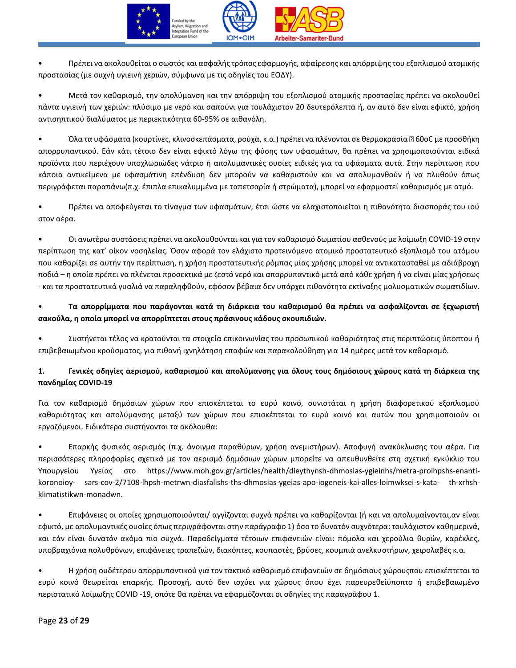

• Πρέπει να ακολουθείται ο σωστός και ασφαλής τρόπος εφαρμογής, αφαίρεσης και απόρριψης του εξοπλισμού ατομικής προστασίας (με συχνή υγιεινή χεριών, σύμφωνα με τις οδηγίες του ΕΟΔΥ).

• Μετά τον καθαρισμό, την απολύμανση και την απόρριψη του εξοπλισμού ατομικής προστασίας πρέπει να ακολουθεί πάντα υγιεινή των χεριών: πλύσιμο με νερό και σαπούνι για τουλάχιστον 20 δευτερόλεπτα ή, αν αυτό δεν είναι εφικτό, χρήση αντισηπτικού διαλύματος με περιεκτικότητα 60-95% σε αιθανόλη.

• Όλα τα υφάσματα (κουρτίνες, κλινοσκεπάσματα, ρούχα, κ.α.) πρέπει να πλένονται σε θερμοκρασία 60oC με προσθήκη απορρυπαντικού. Εάν κάτι τέτοιο δεν είναι εφικτό λόγω της φύσης των υφασμάτων, θα πρέπει να χρησιμοποιούνται ειδικά προϊόντα που περιέχουν υποχλωριώδες νάτριο ή απολυμαντικές ουσίες ειδικές για τα υφάσματα αυτά. Στην περίπτωση που κάποια αντικείμενα με υφασμάτινη επένδυση δεν μπορούν να καθαριστούν και να απολυμανθούν ή να πλυθούν όπως περιγράφεται παραπάνω(π.χ. έπιπλα επικαλυμμένα με ταπετσαρία ή στρώματα), μπορεί να εφαρμοστεί καθαρισμός με ατμό.

• Πρέπει να αποφεύγεται το τίναγμα των υφασμάτων, έτσι ώστε να ελαχιστοποιείται η πιθανότητα διασποράς του ιού στον αέρα.

• Οι ανωτέρω συστάσεις πρέπει να ακολουθούνται και για τον καθαρισμό δωματίου ασθενούς με λοίμωξη COVID-19 στην περίπτωση της κατ' οίκον νοσηλείας. Όσον αφορά τον ελάχιστο προτεινόμενο ατομικό προστατευτικό εξοπλισμό του ατόμου που καθαρίζει σε αυτήν την περίπτωση, η χρήση προστατευτικής ρόμπας μίας χρήσης μπορεί να αντικατασταθεί με αδιάβροχη ποδιά – η οποία πρέπει να πλένεται προσεκτικά με ζεστό νερό και απορρυπαντικό μετά από κάθε χρήση ή να είναι μίας χρήσεως - και τα προστατευτικά γυαλιά να παραληφθούν, εφόσον βέβαια δεν υπάρχει πιθανότητα εκτίναξης μολυσματικών σωματιδίων.

# • **Τα απορρίμματα που παράγονται κατά τη διάρκεια του καθαρισμού θα πρέπει να ασφαλίζονται σε ξεχωριστή σακούλα, η οποία μπορεί να απορρίπτεται στους πράσινους κάδους σκουπιδιών.**

• Συστήνεται τέλος να κρατούνται τα στοιχεία επικοινωνίας του προσωπικού καθαριότητας στις περιπτώσεις ύποπτου ή επιβεβαιωμένου κρούσματος, για πιθανή ιχνηλάτηση επαφών και παρακολούθηση για 14 ημέρες μετά τον καθαρισμό.

# **1. Γενικές οδηγίες αερισμού, καθαρισμού και απολύμανσης για όλους τους δημόσιους χώρους κατά τη διάρκεια της πανδημίας COVID-19**

Για τον καθαρισμό δημόσιων χώρων που επισκέπτεται το ευρύ κοινό, συνιστάται η χρήση διαφορετικού εξοπλισμού καθαριότητας και απολύμανσης μεταξύ των χώρων που επισκέπτεται το ευρύ κοινό και αυτών που χρησιμοποιούν οι εργαζόμενοι. Ειδικότερα συστήνονται τα ακόλουθα:

• Επαρκής φυσικός αερισμός (π.χ. άνοιγμα παραθύρων, χρήση ανεμιστήρων). Αποφυγή ανακύκλωσης του αέρα. Για περισσότερες πληροφορίες σχετικά με τον αερισμό δημόσιων χώρων μπορείτε να απευθυνθείτε στη σχετική εγκύκλιο του Υπουργείου Υγείας στο https://www.moh.gov.gr/articles/health/dieythynsh-dhmosias-ygieinhs/metra-prolhpshs-enantikoronoioy- sars-cov-2/7108-lhpsh-metrwn-diasfalishs-ths-dhmosias-ygeias-apo-iogeneis-kai-alles-loimwksei-s-kata- th-xrhshklimatistikwn-monadwn.

• Επιφάνειες οι οποίες χρησιμοποιούνται/ αγγίζονται συχνά πρέπει να καθαρίζονται (ή και να απολυμαίνονται,αν είναι εφικτό, με απολυμαντικές ουσίες όπως περιγράφονται στην παράγραφο 1) όσο το δυνατόν συχνότερα: τουλάχιστον καθημερινά, και εάν είναι δυνατόν ακόμα πιο συχνά. Παραδείγματα τέτοιων επιφανειών είναι: πόμολα και χερούλια θυρών, καρέκλες, υποβραχιόνια πολυθρόνων, επιφάνειες τραπεζιών, διακόπτες, κουπαστές, βρύσες, κουμπιά ανελκυστήρων, χειρολαβές κ.α.

• Η χρήση ουδέτερου απορρυπαντικού για τον τακτικό καθαρισμό επιφανειών σε δημόσιους χώρουςπου επισκέπτεται το ευρύ κοινό θεωρείται επαρκής. Προσοχή, αυτό δεν ισχύει για χώρους όπου έχει παρευρεθείύποπτο ή επιβεβαιωμένο περιστατικό λοίμωξης COVID -19, οπότε θα πρέπει να εφαρμόζονται οι οδηγίες της παραγράφου 1.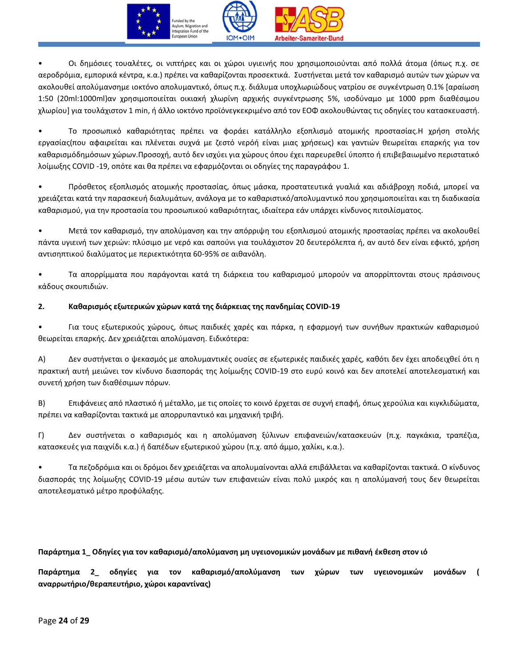

• Oι δημόσιες τουαλέτες, οι νιπτήρες και οι χώροι υγιεινής που χρησιμοποιούνται από πολλά άτομα (όπως π.χ. σε αεροδρόμια, εμπορικά κέντρα, κ.α.) πρέπει να καθαρίζονται προσεκτικά. Συστήνεται μετά τον καθαρισμό αυτών των χώρων να ακολουθεί απολύμανσημε ιοκτόνο απολυμαντικό, όπως π.χ. διάλυμα υποχλωριώδους νατρίου σε συγκέντρωση 0.1% [αραίωση 1:50 (20ml:1000ml)αν χρησιμοποιείται οικιακή χλωρίνη αρχικής συγκέντρωσης 5%, ισοδύναμο με 1000 ppm διαθέσιμου χλωρίου] για τουλάχιστον 1 min, ή άλλο ιοκτόνο προϊόνεγκεκριμένο από τον ΕΟΦ ακολουθώντας τις οδηγίες του κατασκευαστή.

• Το προσωπικό καθαριότητας πρέπει να φοράει κατάλληλο εξοπλισμό ατομικής προστασίας.Η χρήση στολής εργασίας(που αφαιρείται και πλένεται συχνά με ζεστό νερόή είναι μιας χρήσεως) και γαντιών θεωρείται επαρκής για τον καθαρισμόδημόσιων χώρων.Προσοχή, αυτό δεν ισχύει για χώρους όπου έχει παρευρεθεί ύποπτο ή επιβεβαιωμένο περιστατικό λοίμωξης COVID -19, οπότε και θα πρέπει να εφαρμόζονται οι οδηγίες της παραγράφου 1.

• Πρόσθετος εξοπλισμός ατομικής προστασίας, όπως μάσκα, προστατευτικά γυαλιά και αδιάβροχη ποδιά, μπορεί να χρειάζεται κατά την παρασκευή διαλυμάτων, ανάλογα με το καθαριστικό/απολυμαντικό που χρησιμοποιείται και τη διαδικασία καθαρισμού, για την προστασία του προσωπικού καθαριότητας, ιδιαίτερα εάν υπάρχει κίνδυνος πιτσιλίσματος.

• Μετά τον καθαρισμό, την απολύμανση και την απόρριψη του εξοπλισμού ατομικής προστασίας πρέπει να ακολουθεί πάντα υγιεινή των χεριών: πλύσιμο με νερό και σαπούνι για τουλάχιστον 20 δευτερόλεπτα ή, αν αυτό δεν είναι εφικτό, χρήση αντισηπτικού διαλύματος με περιεκτικότητα 60-95% σε αιθανόλη.

• Τα απορρίμματα που παράγονται κατά τη διάρκεια του καθαρισμού μπορούν να απορρίπτονται στους πράσινους κάδους σκουπιδιών.

# **2. Καθαρισμός εξωτερικών χώρων κατά της διάρκειας της πανδημίας COVID-19**

• Για τους εξωτερικούς χώρους, όπως παιδικές χαρές και πάρκα, η εφαρμογή των συνήθων πρακτικών καθαρισμού θεωρείται επαρκής. Δεν χρειάζεται απολύμανση. Ειδικότερα:

Α) Δεν συστήνεται ο ψεκασμός με απολυμαντικές ουσίες σε εξωτερικές παιδικές χαρές, καθότι δεν έχει αποδειχθεί ότι η πρακτική αυτή μειώνει τον κίνδυνο διασποράς της λοίμωξης COVID-19 στο ευρύ κοινό και δεν αποτελεί αποτελεσματική και συνετή χρήση των διαθέσιμων πόρων.

Β) Επιφάνειες από πλαστικό ή μέταλλο, με τις οποίες το κοινό έρχεται σε συχνή επαφή, όπως χερούλια και κιγκλιδώματα, πρέπει να καθαρίζονται τακτικά με απορρυπαντικό και μηχανική τριβή.

Γ) Δεν συστήνεται ο καθαρισμός και η απολύμανση ξύλινων επιφανειών/κατασκευών (π.χ. παγκάκια, τραπέζια, κατασκευές για παιχνίδι κ.α.) ή δαπέδων εξωτερικού χώρου (π.χ. από άμμο, χαλίκι, κ.α.).

• Τα πεζοδρόμια και οι δρόμοι δεν χρειάζεται να απολυμαίνονται αλλά επιβάλλεται να καθαρίζονται τακτικά. Ο κίνδυνος διασποράς της λοίμωξης COVID-19 μέσω αυτών των επιφανειών είναι πολύ μικρός και η απολύμανσή τους δεν θεωρείται αποτελεσματικό μέτρο προφύλαξης.

# **Παράρτημα 1\_ Oδηγίες για τον καθαρισμό/απολύμανση μη υγειονομικών μονάδων με πιθανή έκθεση στον ιό**

**Παράρτημα 2\_ οδηγίες για τον καθαρισμό/απολύμανση των χώρων των υγειονομικών μονάδων ( αναρρωτήριο/θεραπευτήριο, χώροι καραντίνας)**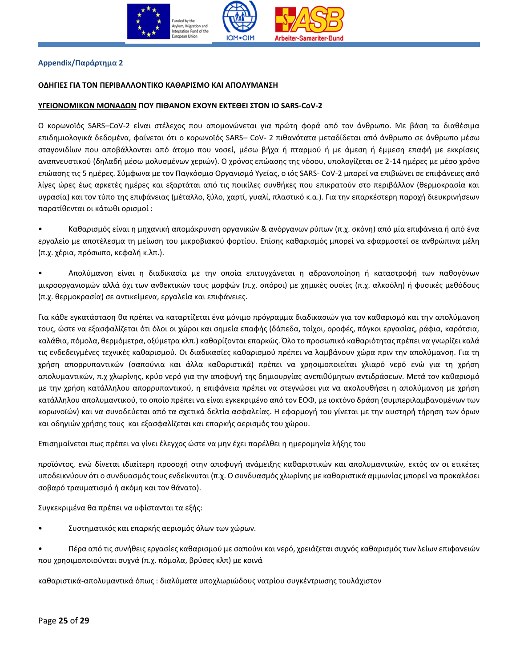

# <span id="page-24-0"></span>**Αppendix/Παράρτημα 2**

### **ΟΔΗΓΙΕΣ ΓΙΑ ΤΟΝ ΠΕΡΙΒΑΛΛΟΝΤΙΚΟ ΚΑΘΑΡΙΣΜΟ ΚΑΙ ΑΠΟΛΥΜΑΝΣΗ**

#### **YΓΕΙΟΝΟΜΙΚΩΝ ΜΟΝΑΔΩΝ ΠΟΥ ΠΙΘΑΝΟΝ ΕΧΟΥΝ ΕΚΤΕΘΕΙ ΣΤΟΝ ΙΟ SARS-CoV-2**

Ο κορωνοϊός SARS–CoV-2 είναι στέλεχος που απομονώνεται για πρώτη φορά από τον άνθρωπο. Με βάση τα διαθέσιμα επιδημιολογικά δεδομένα, φαίνεται ότι ο κορωνοϊός SARS– CoV- 2 πιθανότατα μεταδίδεται από άνθρωπο σε άνθρωπο μέσω σταγονιδίων που αποβάλλονται από άτομο που νοσεί, μέσω βήχα ή πταρμού ή με άμεση ή έμμεση επαφή με εκκρίσεις αναπνευστικού (δηλαδή μέσω μολυσμένων χεριών). Ο χρόνος επώασης της νόσου, υπολογίζεται σε 2-14 ημέρες με μέσο χρόνο επώασης τις 5 ημέρες. Σύμφωνα με τον Παγκόσμιο Οργανισμό Υγείας, ο ιός SARS- CoV-2 μπορεί να επιβιώνει σε επιφάνειες από λίγες ώρες έως αρκετές ημέρες και εξαρτάται από τις ποικίλες συνθήκες που επικρατούν στο περιβάλλον (θερμοκρασία και υγρασία) και τον τύπο της επιφάνειας (μέταλλο, ξύλο, χαρτί, γυαλί, πλαστικό κ.α.). Για την επαρκέστερη παροχή διευκρινήσεων παρατίθενται οι κάτωθι ορισμοί :

• Καθαρισμός είναι η μηχανική απομάκρυνση οργανικών & ανόργανων ρύπων (π.χ. σκόνη) από μία επιφάνεια ή από ένα εργαλείο με αποτέλεσμα τη μείωση του μικροβιακού φορτίου. Επίσης καθαρισμός μπορεί να εφαρμοστεί σε ανθρώπινα μέλη (π.χ. χέρια, πρόσωπο, κεφαλή κ.λπ.).

• Απολύμανση είναι η διαδικασία με την οποία επιτυγχάνεται η αδρανοποίηση ή καταστροφή των παθογόνων μικροοργανισμών αλλά όχι των ανθεκτικών τους μορφών (π.χ. σπόροι) με χημικές ουσίες (π.χ. αλκοόλη) ή φυσικές μεθόδους (π.χ. θερμοκρασία) σε αντικείμενα, εργαλεία και επιφάνειες.

Για κάθε εγκατάσταση θα πρέπει να καταρτίζεται ένα μόνιμο πρόγραμμα διαδικασιών για τον καθαρισμό και την απολύμανση τους, ώστε να εξασφαλίζεται ότι όλοι οι χώροι και σημεία επαφής (δάπεδα, τοίχοι, οροφές, πάγκοι εργασίας, ράφια, καρότσια, καλάθια, πόμολα, θερμόμετρα, οξύμετρα κλπ.) καθαρίζονται επαρκώς. Όλο το προσωπικό καθαριότητας πρέπει να γνωρίζει καλά τις ενδεδειγμένες τεχνικές καθαρισμού. Οι διαδικασίες καθαρισμού πρέπει να λαμβάνουν χώρα πριν την απολύμανση. Για τη χρήση απορρυπαντικών (σαπούνια και άλλα καθαριστικά) πρέπει να χρησιμοποιείται χλιαρό νερό ενώ για τη χρήση απολυμαντικών, π.χ χλωρίνης, κρύο νερό για την αποφυγή της δημιουργίας ανεπιθύμητων αντιδράσεων. Μετά τον καθαρισμό με την χρήση κατάλληλου απορρυπαντικού, η επιφάνεια πρέπει να στεγνώσει για να ακολουθήσει η απολύμανση με χρήση κατάλληλου απολυμαντικού, το οποίο πρέπει να είναι εγκεκριμένο από τον ΕΟΦ, με ιοκτόνο δράση (συμπεριλαμβανομένων των κορωνοϊών) και να συνοδεύεται από τα σχετικά δελτία ασφαλείας. Η εφαρμογή του γίνεται με την αυστηρή τήρηση των όρων και οδηγιών χρήσης τους και εξασφαλίζεται και επαρκής αερισμός του χώρου.

Επισημαίνεται πως πρέπει να γίνει έλεγχος ώστε να μην έχει παρέλθει η ημερομηνία λήξης του

προϊόντος, ενώ δίνεται ιδιαίτερη προσοχή στην αποφυγή ανάμειξης καθαριστικών και απολυμαντικών, εκτός αν οι ετικέτες υποδεικνύουν ότι ο συνδυασμός τους ενδείκνυται (π.χ. Ο συνδυασμός χλωρίνης με καθαριστικά αμμωνίας μπορεί να προκαλέσει σοβαρό τραυματισμό ή ακόμη και τον θάνατο).

Συγκεκριμένα θα πρέπει να υφίστανται τα εξής:

• Συστηματικός και επαρκής αερισμός όλων των χώρων.

• Πέρα από τις συνήθεις εργασίες καθαρισμού με σαπούνι και νερό, χρειάζεται συχνός καθαρισμός των λείων επιφανειών που χρησιμοποιούνται συχνά (π.χ. πόμολα, βρύσες κλπ) με κοινά

καθαριστικά-απολυμαντικά όπως : διαλύματα υποχλωριώδους νατρίου συγκέντρωσης τουλάχιστον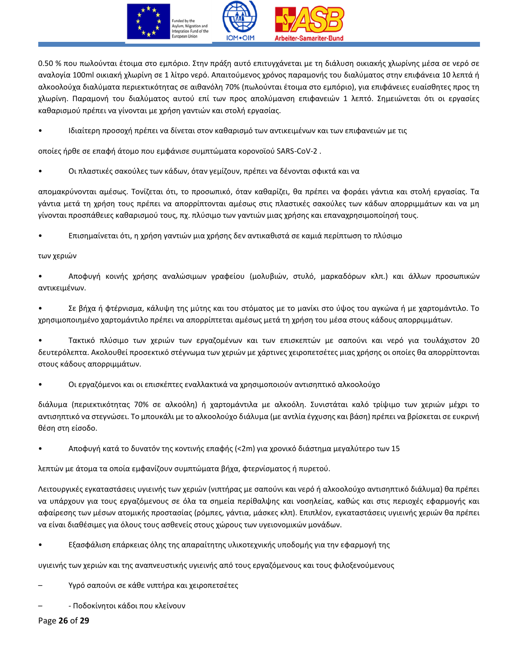

0.50 % που πωλούνται έτοιμα στο εμπόριο. Στην πράξη αυτό επιτυγχάνεται με τη διάλυση οικιακής χλωρίνης μέσα σε νερό σε αναλογία 100ml οικιακή χλωρίνη σε 1 λίτρο νερό. Απαιτούμενος χρόνος παραμονής του διαλύματος στην επιφάνεια 10 λεπτά ή αλκοολούχα διαλύματα περιεκτικότητας σε αιθανόλη 70% (πωλούνται έτοιμα στο εμπόριο), για επιφάνειες ευαίσθητες προς τη χλωρίνη. Παραμονή του διαλύματος αυτού επί των προς απολύμανση επιφανειών 1 λεπτό. Σημειώνεται ότι οι εργασίες καθαρισμού πρέπει να γίνονται με χρήση γαντιών και στολή εργασίας.

• Ιδιαίτερη προσοχή πρέπει να δίνεται στον καθαρισμό των αντικειμένων και των επιφανειών με τις

οποίες ήρθε σε επαφή άτομο που εμφάνισε συμπτώματα κορονοϊού SARS-CοV-2 .

• Οι πλαστικές σακούλες των κάδων, όταν γεμίζουν, πρέπει να δένονται σφικτά και να

απομακρύνονται αμέσως. Τονίζεται ότι, το προσωπικό, όταν καθαρίζει, θα πρέπει να φοράει γάντια και στολή εργασίας. Τα γάντια μετά τη χρήση τους πρέπει να απορρίπτονται αμέσως στις πλαστικές σακούλες των κάδων απορριμμάτων και να μη γίνονται προσπάθειες καθαρισμού τους, πχ. πλύσιμο των γαντιών μιας χρήσης και επαναχρησιμοποίησή τους.

• Επισημαίνεται ότι, η χρήση γαντιών μια χρήσης δεν αντικαθιστά σε καμιά περίπτωση το πλύσιμο

### των χεριών

• Αποφυγή κοινής χρήσης αναλώσιμων γραφείου (μολυβιών, στυλό, μαρκαδόρων κλπ.) και άλλων προσωπικών αντικειμένων.

• Σε βήχα ή φτέρνισμα, κάλυψη της μύτης και του στόματος με το μανίκι στο ύψος του αγκώνα ή με χαρτομάντιλο. Το χρησιμοποιημένο χαρτομάντιλο πρέπει να απορρίπτεται αμέσως μετά τη χρήση του μέσα στους κάδους απορριμμάτων.

• Τακτικό πλύσιμο των χεριών των εργαζομένων και των επισκεπτών με σαπούνι και νερό για τουλάχιστον 20 δευτερόλεπτα. Ακολουθεί προσεκτικό στέγνωμα των χεριών με χάρτινες χειροπετσέτες μιας χρήσης οι οποίες θα απορρίπτονται στους κάδους απορριμμάτων.

• Οι εργαζόμενοι και οι επισκέπτες εναλλακτικά να χρησιμοποιούν αντισηπτικό αλκοολούχο

διάλυμα (περιεκτικότητας 70% σε αλκοόλη) ή χαρτομάντιλα με αλκοόλη. Συνιστάται καλό τρίψιμο των χεριών μέχρι το αντισηπτικό να στεγνώσει. Το μπουκάλι με το αλκοολούχο διάλυμα (με αντλία έγχυσης και βάση) πρέπει να βρίσκεται σε ευκρινή θέση στη είσοδο.

• Αποφυγή κατά το δυνατόν της κοντινής επαφής (<2m) για χρονικό διάστημα μεγαλύτερο των 15

λεπτών με άτομα τα οποία εμφανίζουν συμπτώματα βήχα, φτερνίσματος ή πυρετού.

Λειτουργικές εγκαταστάσεις υγιεινής των χεριών (νιπτήρας με σαπούνι και νερό ή αλκοολούχο αντισηπτικό διάλυμα) θα πρέπει να υπάρχουν για τους εργαζόμενους σε όλα τα σημεία περίθαλψης και νοσηλείας, καθώς και στις περιοχές εφαρμογής και αφαίρεσης των μέσων ατομικής προστασίας (ρόμπες, γάντια, μάσκες κλπ). Επιπλέον, εγκαταστάσεις υγιεινής χεριών θα πρέπει να είναι διαθέσιμες για όλους τους ασθενείς στους χώρους των υγειονομικών μονάδων.

• Εξασφάλιση επάρκειας όλης της απαραίτητης υλικοτεχνικής υποδομής για την εφαρμογή της

υγιεινής των χεριών και της αναπνευστικής υγιεινής από τους εργαζόμενους και τους φιλοξενούμενους

– Υγρό σαπούνι σε κάθε νιπτήρα και χειροπετσέτες

– - Ποδοκίνητοι κάδοι που κλείνουν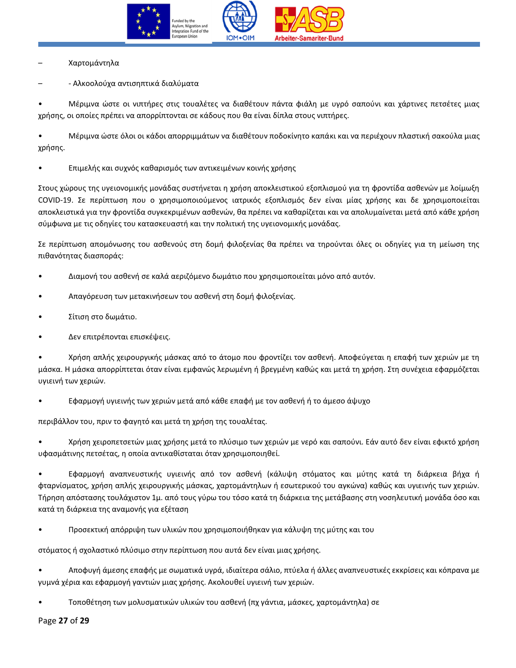

– Χαρτομάντηλα

– - Αλκοολούχα αντισηπτικά διαλύματα

• Μέριμνα ώστε οι νιπτήρες στις τουαλέτες να διαθέτουν πάντα φιάλη με υγρό σαπούνι και χάρτινες πετσέτες μιας χρήσης, οι οποίες πρέπει να απορρίπτονται σε κάδους που θα είναι δίπλα στους νιπτήρες.

• Μέριμνα ώστε όλοι οι κάδοι απορριμμάτων να διαθέτουν ποδοκίνητο καπάκι και να περιέχουν πλαστική σακούλα μιας χρήσης.

• Επιμελής και συχνός καθαρισμός των αντικειμένων κοινής χρήσης

Στους χώρους της υγειονομικής μονάδας συστήνεται η χρήση αποκλειστικού εξοπλισμού για τη φροντίδα ασθενών με λοίμωξη COVID-19. Σε περίπτωση που o χρησιμοποιούμενος ιατρικός εξοπλισμός δεν είναι μίας χρήσης και δε χρησιμοποιείται αποκλειστικά για την φροντίδα συγκεκριμένων ασθενών, θα πρέπει να καθαρίζεται και να απολυμαίνεται μετά από κάθε χρήση σύμφωνα με τις οδηγίες του κατασκευαστή και την πολιτική της υγειονομικής μονάδας.

Σε περίπτωση απομόνωσης του ασθενούς στη δομή φιλοξενίας θα πρέπει να τηρούνται όλες οι οδηγίες για τη μείωση της πιθανότητας διασποράς:

- Διαμονή του ασθενή σε καλά αεριζόμενο δωμάτιο που χρησιμοποιείται μόνο από αυτόν.
- Απαγόρευση των μετακινήσεων του ασθενή στη δομή φιλοξενίας.
- Σίτιση στο δωμάτιο.
- Δεν επιτρέπονται επισκέψεις.

• Χρήση απλής χειρουργικής μάσκας από το άτομο που φροντίζει τον ασθενή. Αποφεύγεται η επαφή των χεριών με τη μάσκα. Η μάσκα απορρίπτεται όταν είναι εμφανώς λερωμένη ή βρεγμένη καθώς και μετά τη χρήση. Στη συνέχεια εφαρμόζεται υγιεινή των χεριών.

• Εφαρμογή υγιεινής των χεριών μετά από κάθε επαφή με τον ασθενή ή το άμεσο άψυχο

περιβάλλον του, πριν το φαγητό και μετά τη χρήση της τουαλέτας.

• Χρήση χειροπετσετών μιας χρήσης μετά το πλύσιμο των χεριών με νερό και σαπούνι. Εάν αυτό δεν είναι εφικτό χρήση υφασμάτινης πετσέτας, η οποία αντικαθίσταται όταν χρησιμοποιηθεί.

• Εφαρμογή αναπνευστικής υγιεινής από τον ασθενή (κάλυψη στόματος και μύτης κατά τη διάρκεια βήχα ή φταρνίσματος, χρήση απλής χειρουργικής μάσκας, χαρτομάντηλων ή εσωτερικού του αγκώνα) καθώς και υγιεινής των χεριών. Τήρηση απόστασης τουλάχιστον 1μ. από τους γύρω του τόσο κατά τη διάρκεια της μετάβασης στη νοσηλευτική μονάδα όσο και κατά τη διάρκεια της αναμονής για εξέταση

• Προσεκτική απόρριψη των υλικών που χρησιμοποιήθηκαν για κάλυψη της μύτης και του

στόματος ή σχολαστικό πλύσιμο στην περίπτωση που αυτά δεν είναι μιας χρήσης.

• Αποφυγή άμεσης επαφής με σωματικά υγρά, ιδιαίτερα σάλιο, πτύελα ή άλλες αναπνευστικές εκκρίσεις και κόπρανα με γυμνά χέρια και εφαρμογή γαντιών μιας χρήσης. Ακολουθεί υγιεινή των χεριών.

• Τοποθέτηση των μολυσματικών υλικών του ασθενή (πχ γάντια, μάσκες, χαρτομάντηλα) σε

Page **27** of **29**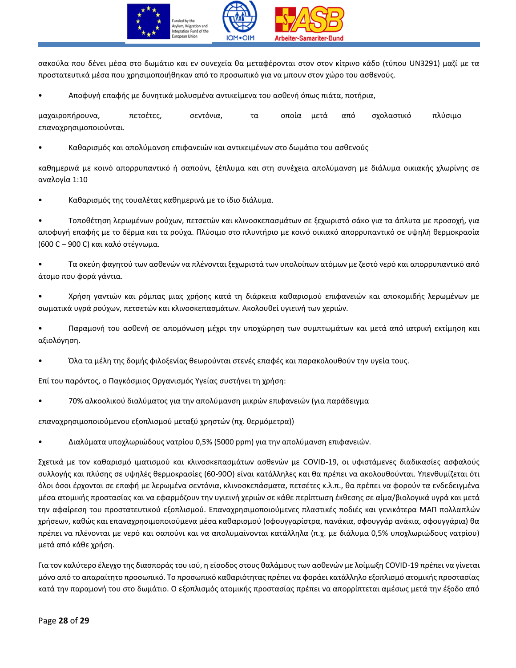

σακούλα που δένει μέσα στο δωμάτιο και εν συνεχεία θα μεταφέρονται στον στον κίτρινο κάδο (τύπου UN3291) μαζί με τα προστατευτικά μέσα που χρησιμοποιήθηκαν από το προσωπικό για να μπουν στον χώρο του ασθενούς.

• Αποφυγή επαφής με δυνητικά μολυσμένα αντικείμενα του ασθενή όπως πιάτα, ποτήρια,

μαχαιροπήρουνα, πετσέτες, σεντόνια, τα οποία μετά από σχολαστικό πλύσιμο επαναχρησιμοποιούνται.

• Καθαρισμός και απολύμανση επιφανειών και αντικειμένων στο δωμάτιο του ασθενούς

καθημερινά με κοινό απορρυπαντικό ή σαπούνι, ξέπλυμα και στη συνέχεια απολύμανση με διάλυμα οικιακής χλωρίνης σε αναλογία 1:10

• Καθαρισμός της τουαλέτας καθημερινά με το ίδιο διάλυμα.

• Τοποθέτηση λερωμένων ρούχων, πετσετών και κλινοσκεπασμάτων σε ξεχωριστό σάκο για τα άπλυτα με προσοχή, για αποφυγή επαφής με το δέρμα και τα ρούχα. Πλύσιμο στο πλυντήριο με κοινό οικιακό απορρυπαντικό σε υψηλή θερμοκρασία (600 C – 900 C) και καλό στέγνωμα.

• Τα σκεύη φαγητού των ασθενών να πλένονται ξεχωριστά των υπολοίπων ατόμων με ζεστό νερό και απορρυπαντικό από άτομο που φορά γάντια.

• Χρήση γαντιών και ρόμπας μιας χρήσης κατά τη διάρκεια καθαρισμού επιφανειών και αποκομιδής λερωμένων με σωματικά υγρά ρούχων, πετσετών και κλινοσκεπασμάτων. Ακολουθεί υγιεινή των χεριών.

• Παραμονή του ασθενή σε απομόνωση μέχρι την υποχώρηση των συμπτωμάτων και μετά από ιατρική εκτίμηση και αξιολόγηση.

• Όλα τα μέλη της δομής φιλοξενίας θεωρούνται στενές επαφές και παρακολουθούν την υγεία τους.

Επί του παρόντος, ο Παγκόσμιος Οργανισμός Υγείας συστήνει τη χρήση:

• 70% αλκοολικού διαλύματος για την απολύμανση μικρών επιφανειών (για παράδειγμα

επαναχρησιμοποιούμενου εξοπλισμού μεταξύ χρηστών (πχ. θερμόμετρα))

• Διαλύματα υποχλωριώδους νατρίου 0,5% (5000 ppm) για την απολύμανση επιφανειών.

Σχετικά με τον καθαρισμό ιματισμού και κλινοσκεπασμάτων ασθενών με COVID-19, οι υφιστάμενες διαδικασίες ασφαλούς συλλογής και πλύσης σε υψηλές θερμοκρασίες (60-90O) είναι κατάλληλες και θα πρέπει να ακολουθούνται. Υπενθυμίζεται ότι όλοι όσοι έρχονται σε επαφή με λερωμένα σεντόνια, κλινοσκεπάσματα, πετσέτες κ.λ.π., θα πρέπει να φορούν τα ενδεδειγμένα μέσα ατομικής προστασίας και να εφαρμόζουν την υγιεινή χεριών σε κάθε περίπτωση έκθεσης σε αίμα/βιολογικά υγρά και μετά την αφαίρεση του προστατευτικού εξοπλισμού. Επαναχρησιμοποιούμενες πλαστικές ποδιές και γενικότερα ΜΑΠ πολλαπλών χρήσεων, καθώς και επαναχρησιμοποιούμενα μέσα καθαρισμού (σφουγγαρίστρα, πανάκια, σφουγγάρ ανάκια, σφουγγάρια) θα πρέπει να πλένονται με νερό και σαπούνι και να απολυμαίνονται κατάλληλα (π.χ. με διάλυμα 0,5% υποχλωριώδους νατρίου) μετά από κάθε χρήση.

Για τον καλύτερο έλεγχο της διασποράς του ιού, η είσοδος στους θαλάμους των ασθενών με λοίμωξη COVID-19 πρέπει να γίνεται μόνο από το απαραίτητο προσωπικό. Το προσωπικό καθαριότητας πρέπει να φοράει κατάλληλο εξοπλισμό ατομικής προστασίας κατά την παραμονή του στο δωμάτιο. Ο εξοπλισμός ατομικής προστασίας πρέπει να απορρίπτεται αμέσως μετά την έξοδο από